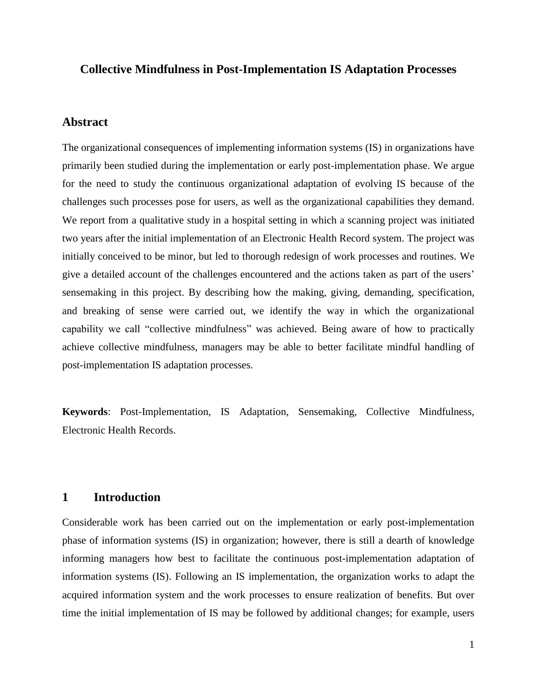# **Collective Mindfulness in Post-Implementation IS Adaptation Processes**

# **Abstract**

The organizational consequences of implementing information systems (IS) in organizations have primarily been studied during the implementation or early post-implementation phase. We argue for the need to study the continuous organizational adaptation of evolving IS because of the challenges such processes pose for users, as well as the organizational capabilities they demand. We report from a qualitative study in a hospital setting in which a scanning project was initiated two years after the initial implementation of an Electronic Health Record system. The project was initially conceived to be minor, but led to thorough redesign of work processes and routines. We give a detailed account of the challenges encountered and the actions taken as part of the users' sensemaking in this project. By describing how the making, giving, demanding, specification, and breaking of sense were carried out, we identify the way in which the organizational capability we call "collective mindfulness" was achieved. Being aware of how to practically achieve collective mindfulness, managers may be able to better facilitate mindful handling of post-implementation IS adaptation processes.

**Keywords**: Post-Implementation, IS Adaptation, Sensemaking, Collective Mindfulness, Electronic Health Records.

# **1 Introduction**

Considerable work has been carried out on the implementation or early post-implementation phase of information systems (IS) in organization; however, there is still a dearth of knowledge informing managers how best to facilitate the continuous post-implementation adaptation of information systems (IS). Following an IS implementation, the organization works to adapt the acquired information system and the work processes to ensure realization of benefits. But over time the initial implementation of IS may be followed by additional changes; for example, users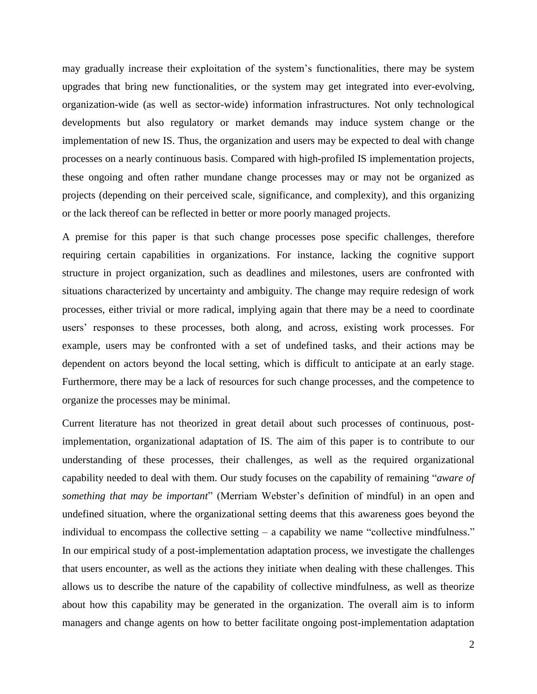may gradually increase their exploitation of the system's functionalities, there may be system upgrades that bring new functionalities, or the system may get integrated into ever-evolving, organization-wide (as well as sector-wide) information infrastructures. Not only technological developments but also regulatory or market demands may induce system change or the implementation of new IS. Thus, the organization and users may be expected to deal with change processes on a nearly continuous basis. Compared with high-profiled IS implementation projects, these ongoing and often rather mundane change processes may or may not be organized as projects (depending on their perceived scale, significance, and complexity), and this organizing or the lack thereof can be reflected in better or more poorly managed projects.

A premise for this paper is that such change processes pose specific challenges, therefore requiring certain capabilities in organizations. For instance, lacking the cognitive support structure in project organization, such as deadlines and milestones, users are confronted with situations characterized by uncertainty and ambiguity. The change may require redesign of work processes, either trivial or more radical, implying again that there may be a need to coordinate users' responses to these processes, both along, and across, existing work processes. For example, users may be confronted with a set of undefined tasks, and their actions may be dependent on actors beyond the local setting, which is difficult to anticipate at an early stage. Furthermore, there may be a lack of resources for such change processes, and the competence to organize the processes may be minimal.

Current literature has not theorized in great detail about such processes of continuous, postimplementation, organizational adaptation of IS. The aim of this paper is to contribute to our understanding of these processes, their challenges, as well as the required organizational capability needed to deal with them. Our study focuses on the capability of remaining "*aware of something that may be important*" (Merriam Webster's definition of mindful) in an open and undefined situation, where the organizational setting deems that this awareness goes beyond the individual to encompass the collective setting – a capability we name "collective mindfulness." In our empirical study of a post-implementation adaptation process, we investigate the challenges that users encounter, as well as the actions they initiate when dealing with these challenges. This allows us to describe the nature of the capability of collective mindfulness, as well as theorize about how this capability may be generated in the organization. The overall aim is to inform managers and change agents on how to better facilitate ongoing post-implementation adaptation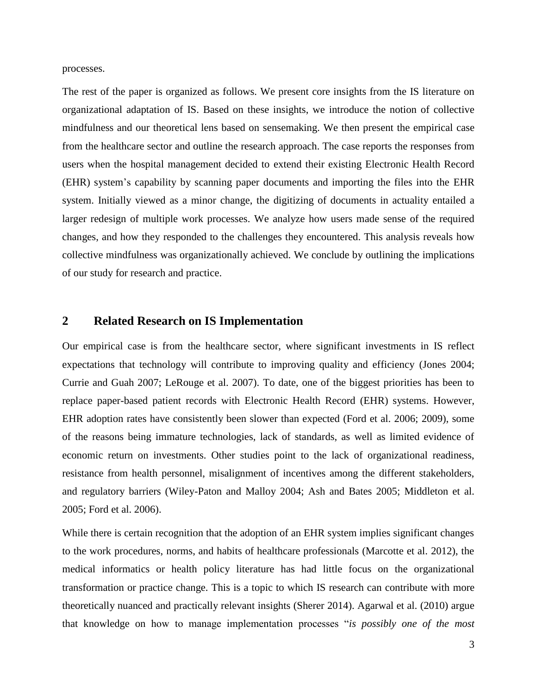processes.

The rest of the paper is organized as follows. We present core insights from the IS literature on organizational adaptation of IS. Based on these insights, we introduce the notion of collective mindfulness and our theoretical lens based on sensemaking. We then present the empirical case from the healthcare sector and outline the research approach. The case reports the responses from users when the hospital management decided to extend their existing Electronic Health Record (EHR) system's capability by scanning paper documents and importing the files into the EHR system. Initially viewed as a minor change, the digitizing of documents in actuality entailed a larger redesign of multiple work processes. We analyze how users made sense of the required changes, and how they responded to the challenges they encountered. This analysis reveals how collective mindfulness was organizationally achieved. We conclude by outlining the implications of our study for research and practice.

### **2 Related Research on IS Implementation**

Our empirical case is from the healthcare sector, where significant investments in IS reflect expectations that technology will contribute to improving quality and efficiency (Jones 2004; Currie and Guah 2007; LeRouge et al. 2007). To date, one of the biggest priorities has been to replace paper-based patient records with Electronic Health Record (EHR) systems. However, EHR adoption rates have consistently been slower than expected (Ford et al. 2006; 2009), some of the reasons being immature technologies, lack of standards, as well as limited evidence of economic return on investments. Other studies point to the lack of organizational readiness, resistance from health personnel, misalignment of incentives among the different stakeholders, and regulatory barriers (Wiley-Paton and Malloy 2004; Ash and Bates 2005; Middleton et al. 2005; Ford et al. 2006).

While there is certain recognition that the adoption of an EHR system implies significant changes to the work procedures, norms, and habits of healthcare professionals (Marcotte et al. 2012), the medical informatics or health policy literature has had little focus on the organizational transformation or practice change. This is a topic to which IS research can contribute with more theoretically nuanced and practically relevant insights (Sherer 2014). Agarwal et al. (2010) argue that knowledge on how to manage implementation processes "*is possibly one of the most*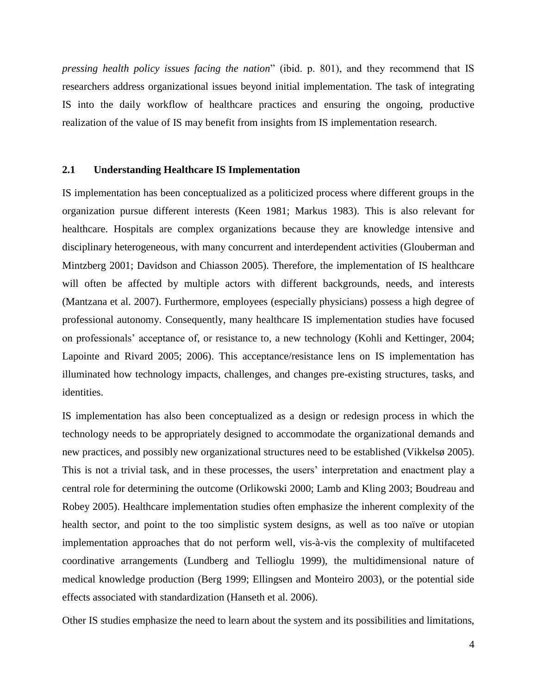*pressing health policy issues facing the nation*" (ibid. p. 801), and they recommend that IS researchers address organizational issues beyond initial implementation. The task of integrating IS into the daily workflow of healthcare practices and ensuring the ongoing, productive realization of the value of IS may benefit from insights from IS implementation research.

#### **2.1 Understanding Healthcare IS Implementation**

IS implementation has been conceptualized as a politicized process where different groups in the organization pursue different interests (Keen 1981; Markus 1983). This is also relevant for healthcare. Hospitals are complex organizations because they are knowledge intensive and disciplinary heterogeneous, with many concurrent and interdependent activities (Glouberman and Mintzberg 2001; Davidson and Chiasson 2005). Therefore, the implementation of IS healthcare will often be affected by multiple actors with different backgrounds, needs, and interests (Mantzana et al. 2007). Furthermore, employees (especially physicians) possess a high degree of professional autonomy. Consequently, many healthcare IS implementation studies have focused on professionals' acceptance of, or resistance to, a new technology (Kohli and Kettinger, 2004; Lapointe and Rivard 2005; 2006). This acceptance/resistance lens on IS implementation has illuminated how technology impacts, challenges, and changes pre-existing structures, tasks, and identities.

IS implementation has also been conceptualized as a design or redesign process in which the technology needs to be appropriately designed to accommodate the organizational demands and new practices, and possibly new organizational structures need to be established (Vikkelsø 2005). This is not a trivial task, and in these processes, the users' interpretation and enactment play a central role for determining the outcome (Orlikowski 2000; Lamb and Kling 2003; Boudreau and Robey 2005). Healthcare implementation studies often emphasize the inherent complexity of the health sector, and point to the too simplistic system designs, as well as too naïve or utopian implementation approaches that do not perform well, vis-à-vis the complexity of multifaceted coordinative arrangements (Lundberg and Tellioglu 1999), the multidimensional nature of medical knowledge production (Berg 1999; Ellingsen and Monteiro 2003), or the potential side effects associated with standardization (Hanseth et al. 2006).

Other IS studies emphasize the need to learn about the system and its possibilities and limitations,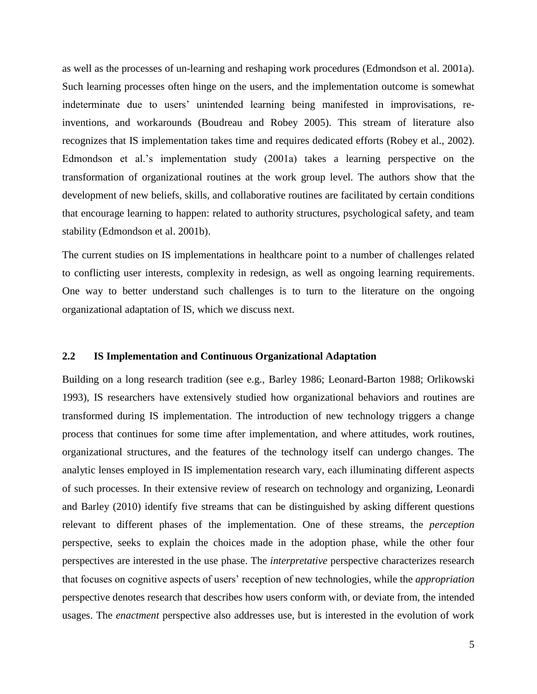as well as the processes of un-learning and reshaping work procedures (Edmondson et al. 2001a). Such learning processes often hinge on the users, and the implementation outcome is somewhat indeterminate due to users' unintended learning being manifested in improvisations, reinventions, and workarounds (Boudreau and Robey 2005). This stream of literature also recognizes that IS implementation takes time and requires dedicated efforts (Robey et al., 2002). Edmondson et al.'s implementation study (2001a) takes a learning perspective on the transformation of organizational routines at the work group level. The authors show that the development of new beliefs, skills, and collaborative routines are facilitated by certain conditions that encourage learning to happen: related to authority structures, psychological safety, and team stability (Edmondson et al. 2001b).

The current studies on IS implementations in healthcare point to a number of challenges related to conflicting user interests, complexity in redesign, as well as ongoing learning requirements. One way to better understand such challenges is to turn to the literature on the ongoing organizational adaptation of IS, which we discuss next.

#### **2.2 IS Implementation and Continuous Organizational Adaptation**

Building on a long research tradition (see e.g., Barley 1986; Leonard-Barton 1988; Orlikowski 1993), IS researchers have extensively studied how organizational behaviors and routines are transformed during IS implementation. The introduction of new technology triggers a change process that continues for some time after implementation, and where attitudes, work routines, organizational structures, and the features of the technology itself can undergo changes. The analytic lenses employed in IS implementation research vary, each illuminating different aspects of such processes. In their extensive review of research on technology and organizing, Leonardi and Barley (2010) identify five streams that can be distinguished by asking different questions relevant to different phases of the implementation. One of these streams, the *perception* perspective, seeks to explain the choices made in the adoption phase, while the other four perspectives are interested in the use phase. The *interpretative* perspective characterizes research that focuses on cognitive aspects of users' reception of new technologies, while the *appropriation* perspective denotes research that describes how users conform with, or deviate from, the intended usages. The *enactment* perspective also addresses use, but is interested in the evolution of work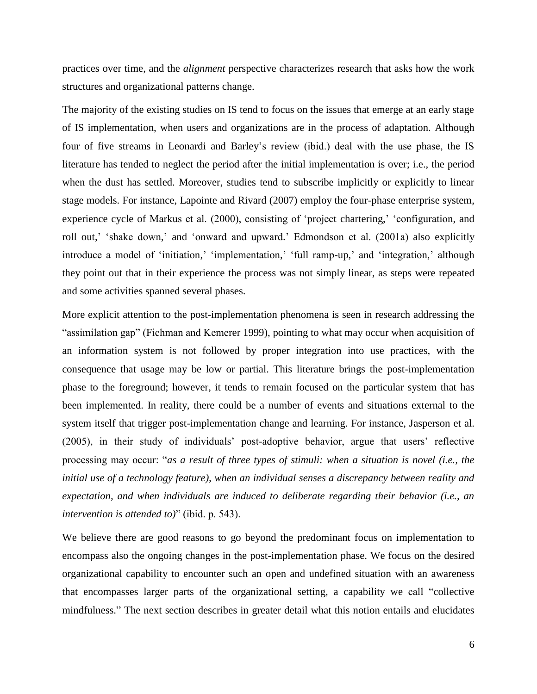practices over time, and the *alignment* perspective characterizes research that asks how the work structures and organizational patterns change.

The majority of the existing studies on IS tend to focus on the issues that emerge at an early stage of IS implementation, when users and organizations are in the process of adaptation. Although four of five streams in Leonardi and Barley's review (ibid.) deal with the use phase, the IS literature has tended to neglect the period after the initial implementation is over; i.e., the period when the dust has settled. Moreover, studies tend to subscribe implicitly or explicitly to linear stage models. For instance, Lapointe and Rivard (2007) employ the four-phase enterprise system, experience cycle of Markus et al. (2000), consisting of 'project chartering,' 'configuration, and roll out,' 'shake down,' and 'onward and upward.' Edmondson et al. (2001a) also explicitly introduce a model of 'initiation,' 'implementation,' 'full ramp-up,' and 'integration,' although they point out that in their experience the process was not simply linear, as steps were repeated and some activities spanned several phases.

More explicit attention to the post-implementation phenomena is seen in research addressing the "assimilation gap" (Fichman and Kemerer 1999), pointing to what may occur when acquisition of an information system is not followed by proper integration into use practices, with the consequence that usage may be low or partial. This literature brings the post-implementation phase to the foreground; however, it tends to remain focused on the particular system that has been implemented. In reality, there could be a number of events and situations external to the system itself that trigger post-implementation change and learning. For instance, Jasperson et al. (2005), in their study of individuals' post-adoptive behavior, argue that users' reflective processing may occur: "*as a result of three types of stimuli: when a situation is novel (i.e., the initial use of a technology feature), when an individual senses a discrepancy between reality and expectation, and when individuals are induced to deliberate regarding their behavior (i.e., an intervention is attended to)*" (ibid. p. 543).

We believe there are good reasons to go beyond the predominant focus on implementation to encompass also the ongoing changes in the post-implementation phase. We focus on the desired organizational capability to encounter such an open and undefined situation with an awareness that encompasses larger parts of the organizational setting, a capability we call "collective mindfulness." The next section describes in greater detail what this notion entails and elucidates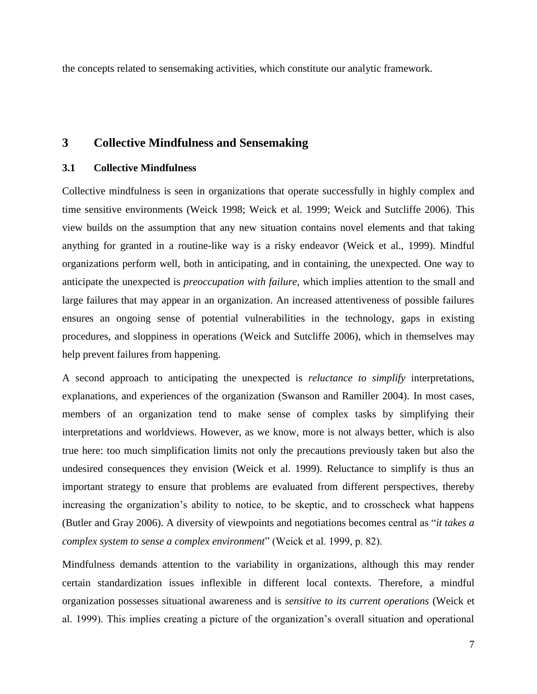the concepts related to sensemaking activities, which constitute our analytic framework.

# **3 Collective Mindfulness and Sensemaking**

### **3.1 Collective Mindfulness**

Collective mindfulness is seen in organizations that operate successfully in highly complex and time sensitive environments (Weick 1998; Weick et al. 1999; Weick and Sutcliffe 2006). This view builds on the assumption that any new situation contains novel elements and that taking anything for granted in a routine-like way is a risky endeavor (Weick et al., 1999). Mindful organizations perform well, both in anticipating, and in containing, the unexpected. One way to anticipate the unexpected is *preoccupation with failure,* which implies attention to the small and large failures that may appear in an organization. An increased attentiveness of possible failures ensures an ongoing sense of potential vulnerabilities in the technology, gaps in existing procedures, and sloppiness in operations (Weick and Sutcliffe 2006), which in themselves may help prevent failures from happening.

A second approach to anticipating the unexpected is *reluctance to simplify* interpretations, explanations, and experiences of the organization (Swanson and Ramiller 2004). In most cases, members of an organization tend to make sense of complex tasks by simplifying their interpretations and worldviews. However, as we know, more is not always better, which is also true here: too much simplification limits not only the precautions previously taken but also the undesired consequences they envision (Weick et al. 1999). Reluctance to simplify is thus an important strategy to ensure that problems are evaluated from different perspectives, thereby increasing the organization's ability to notice, to be skeptic, and to crosscheck what happens (Butler and Gray 2006). A diversity of viewpoints and negotiations becomes central as "*it takes a complex system to sense a complex environment*" (Weick et al. 1999, p. 82).

Mindfulness demands attention to the variability in organizations, although this may render certain standardization issues inflexible in different local contexts. Therefore, a mindful organization possesses situational awareness and is *sensitive to its current operations* (Weick et al. 1999). This implies creating a picture of the organization's overall situation and operational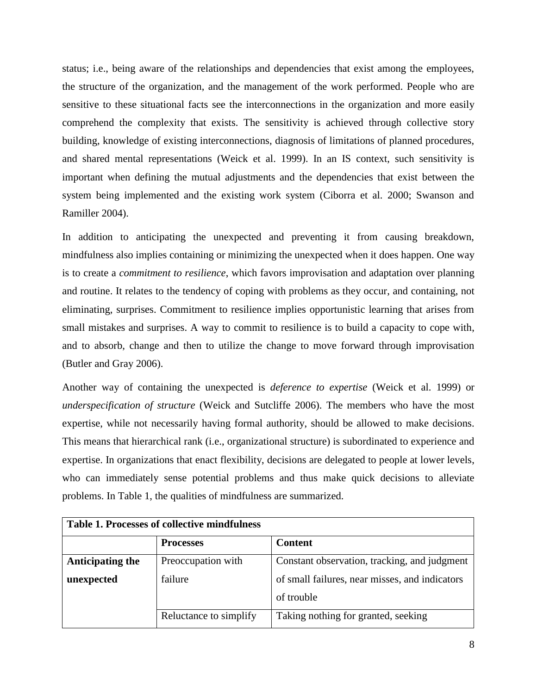status; i.e., being aware of the relationships and dependencies that exist among the employees, the structure of the organization, and the management of the work performed. People who are sensitive to these situational facts see the interconnections in the organization and more easily comprehend the complexity that exists. The sensitivity is achieved through collective story building, knowledge of existing interconnections, diagnosis of limitations of planned procedures, and shared mental representations (Weick et al. 1999). In an IS context, such sensitivity is important when defining the mutual adjustments and the dependencies that exist between the system being implemented and the existing work system (Ciborra et al. 2000; Swanson and Ramiller 2004).

In addition to anticipating the unexpected and preventing it from causing breakdown, mindfulness also implies containing or minimizing the unexpected when it does happen. One way is to create a *commitment to resilience*, which favors improvisation and adaptation over planning and routine. It relates to the tendency of coping with problems as they occur, and containing, not eliminating, surprises. Commitment to resilience implies opportunistic learning that arises from small mistakes and surprises. A way to commit to resilience is to build a capacity to cope with, and to absorb, change and then to utilize the change to move forward through improvisation (Butler and Gray 2006).

Another way of containing the unexpected is *deference to expertise* (Weick et al. 1999) or *underspecification of structure* (Weick and Sutcliffe 2006). The members who have the most expertise, while not necessarily having formal authority, should be allowed to make decisions. This means that hierarchical rank (i.e., organizational structure) is subordinated to experience and expertise. In organizations that enact flexibility, decisions are delegated to people at lower levels, who can immediately sense potential problems and thus make quick decisions to alleviate problems. In Table 1, the qualities of mindfulness are summarized.

| <b>Table 1. Processes of collective mindfulness</b> |                        |                                                |
|-----------------------------------------------------|------------------------|------------------------------------------------|
|                                                     | <b>Processes</b>       | <b>Content</b>                                 |
| Anticipating the                                    | Preoccupation with     | Constant observation, tracking, and judgment   |
| unexpected                                          | failure                | of small failures, near misses, and indicators |
|                                                     |                        | of trouble                                     |
|                                                     | Reluctance to simplify | Taking nothing for granted, seeking            |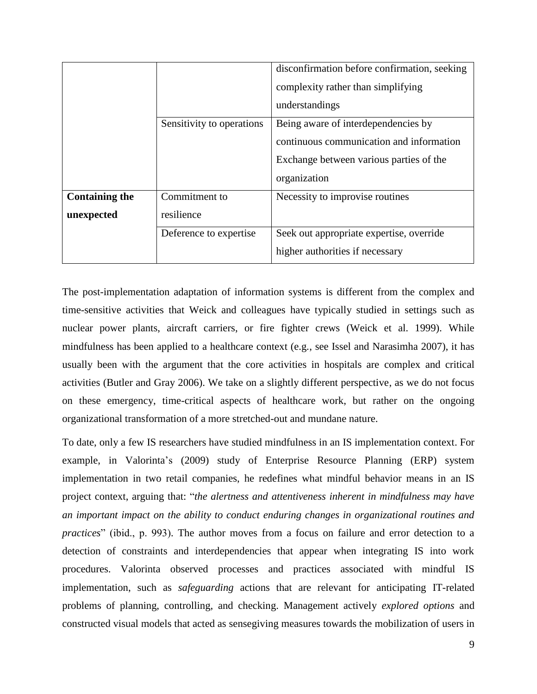|                                     |                             | disconfirmation before confirmation, seeking<br>complexity rather than simplifying<br>understandings                                       |
|-------------------------------------|-----------------------------|--------------------------------------------------------------------------------------------------------------------------------------------|
|                                     | Sensitivity to operations   | Being aware of interdependencies by<br>continuous communication and information<br>Exchange between various parties of the<br>organization |
| <b>Containing the</b><br>unexpected | Commitment to<br>resilience | Necessity to improvise routines                                                                                                            |
|                                     | Deference to expertise      | Seek out appropriate expertise, override<br>higher authorities if necessary                                                                |

The post-implementation adaptation of information systems is different from the complex and time-sensitive activities that Weick and colleagues have typically studied in settings such as nuclear power plants, aircraft carriers, or fire fighter crews (Weick et al. 1999). While mindfulness has been applied to a healthcare context (e.g., see Issel and Narasimha 2007), it has usually been with the argument that the core activities in hospitals are complex and critical activities (Butler and Gray 2006). We take on a slightly different perspective, as we do not focus on these emergency, time-critical aspects of healthcare work, but rather on the ongoing organizational transformation of a more stretched-out and mundane nature.

To date, only a few IS researchers have studied mindfulness in an IS implementation context. For example, in Valorinta's (2009) study of Enterprise Resource Planning (ERP) system implementation in two retail companies, he redefines what mindful behavior means in an IS project context, arguing that: "*the alertness and attentiveness inherent in mindfulness may have an important impact on the ability to conduct enduring changes in organizational routines and practices*" (ibid., p. 993). The author moves from a focus on failure and error detection to a detection of constraints and interdependencies that appear when integrating IS into work procedures. Valorinta observed processes and practices associated with mindful IS implementation, such as *safeguarding* actions that are relevant for anticipating IT-related problems of planning, controlling, and checking. Management actively *explored options* and constructed visual models that acted as sensegiving measures towards the mobilization of users in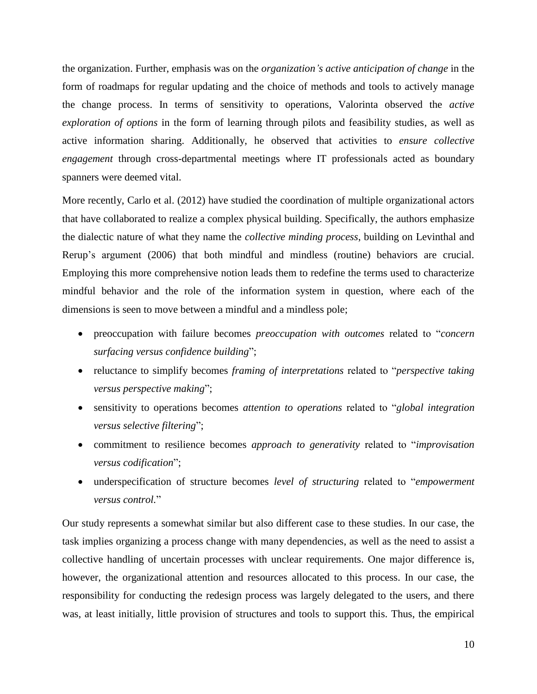the organization. Further, emphasis was on the *organization's active anticipation of change* in the form of roadmaps for regular updating and the choice of methods and tools to actively manage the change process. In terms of sensitivity to operations, Valorinta observed the *active exploration of options* in the form of learning through pilots and feasibility studies, as well as active information sharing. Additionally, he observed that activities to *ensure collective engagement* through cross-departmental meetings where IT professionals acted as boundary spanners were deemed vital.

More recently, Carlo et al. (2012) have studied the coordination of multiple organizational actors that have collaborated to realize a complex physical building. Specifically, the authors emphasize the dialectic nature of what they name the *collective minding process*, building on Levinthal and Rerup's argument (2006) that both mindful and mindless (routine) behaviors are crucial. Employing this more comprehensive notion leads them to redefine the terms used to characterize mindful behavior and the role of the information system in question, where each of the dimensions is seen to move between a mindful and a mindless pole;

- preoccupation with failure becomes *preoccupation with outcomes* related to "*concern surfacing versus confidence building*";
- reluctance to simplify becomes *framing of interpretations* related to "*perspective taking versus perspective making*";
- sensitivity to operations becomes *attention to operations* related to "*global integration versus selective filtering*";
- commitment to resilience becomes *approach to generativity* related to "*improvisation versus codification*";
- underspecification of structure becomes *level of structuring* related to "*empowerment versus control.*"

Our study represents a somewhat similar but also different case to these studies. In our case, the task implies organizing a process change with many dependencies, as well as the need to assist a collective handling of uncertain processes with unclear requirements. One major difference is, however, the organizational attention and resources allocated to this process. In our case, the responsibility for conducting the redesign process was largely delegated to the users, and there was, at least initially, little provision of structures and tools to support this. Thus, the empirical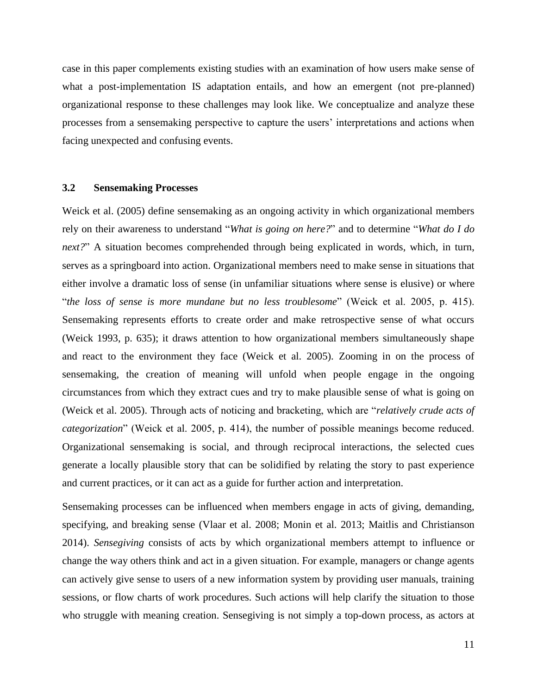case in this paper complements existing studies with an examination of how users make sense of what a post-implementation IS adaptation entails, and how an emergent (not pre-planned) organizational response to these challenges may look like. We conceptualize and analyze these processes from a sensemaking perspective to capture the users' interpretations and actions when facing unexpected and confusing events.

#### **3.2 Sensemaking Processes**

Weick et al. (2005) define sensemaking as an ongoing activity in which organizational members rely on their awareness to understand "*What is going on here?*" and to determine "*What do I do next?*" A situation becomes comprehended through being explicated in words, which, in turn, serves as a springboard into action. Organizational members need to make sense in situations that either involve a dramatic loss of sense (in unfamiliar situations where sense is elusive) or where "*the loss of sense is more mundane but no less troublesome*" (Weick et al. 2005, p. 415). Sensemaking represents efforts to create order and make retrospective sense of what occurs (Weick 1993, p. 635); it draws attention to how organizational members simultaneously shape and react to the environment they face (Weick et al. 2005). Zooming in on the process of sensemaking, the creation of meaning will unfold when people engage in the ongoing circumstances from which they extract cues and try to make plausible sense of what is going on (Weick et al. 2005). Through acts of noticing and bracketing, which are "*relatively crude acts of categorization*" (Weick et al. 2005, p. 414), the number of possible meanings become reduced. Organizational sensemaking is social, and through reciprocal interactions, the selected cues generate a locally plausible story that can be solidified by relating the story to past experience and current practices, or it can act as a guide for further action and interpretation.

Sensemaking processes can be influenced when members engage in acts of giving, demanding, specifying, and breaking sense (Vlaar et al. 2008; Monin et al. 2013; Maitlis and Christianson 2014). *Sensegiving* consists of acts by which organizational members attempt to influence or change the way others think and act in a given situation. For example, managers or change agents can actively give sense to users of a new information system by providing user manuals, training sessions, or flow charts of work procedures. Such actions will help clarify the situation to those who struggle with meaning creation. Sensegiving is not simply a top-down process, as actors at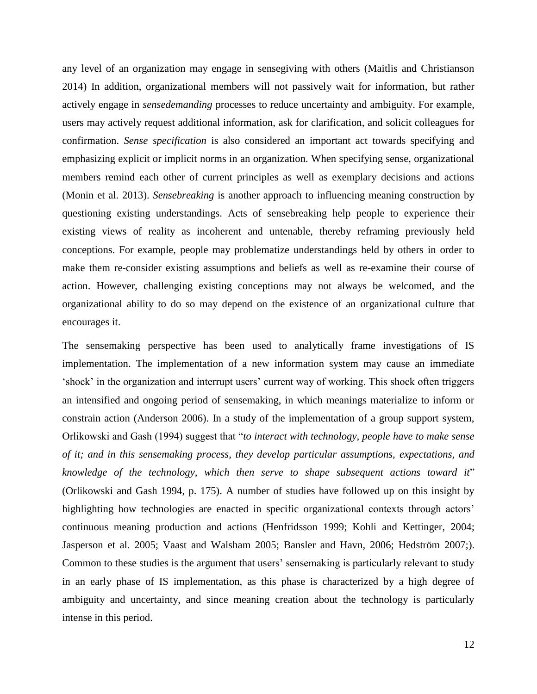any level of an organization may engage in sensegiving with others (Maitlis and Christianson 2014) In addition, organizational members will not passively wait for information, but rather actively engage in *sensedemanding* processes to reduce uncertainty and ambiguity. For example, users may actively request additional information, ask for clarification, and solicit colleagues for confirmation. *Sense specification* is also considered an important act towards specifying and emphasizing explicit or implicit norms in an organization. When specifying sense, organizational members remind each other of current principles as well as exemplary decisions and actions (Monin et al. 2013). *Sensebreaking* is another approach to influencing meaning construction by questioning existing understandings. Acts of sensebreaking help people to experience their existing views of reality as incoherent and untenable, thereby reframing previously held conceptions. For example, people may problematize understandings held by others in order to make them re-consider existing assumptions and beliefs as well as re-examine their course of action. However, challenging existing conceptions may not always be welcomed, and the organizational ability to do so may depend on the existence of an organizational culture that encourages it.

The sensemaking perspective has been used to analytically frame investigations of IS implementation. The implementation of a new information system may cause an immediate 'shock' in the organization and interrupt users' current way of working. This shock often triggers an intensified and ongoing period of sensemaking, in which meanings materialize to inform or constrain action (Anderson 2006). In a study of the implementation of a group support system, Orlikowski and Gash (1994) suggest that "*to interact with technology, people have to make sense of it; and in this sensemaking process, they develop particular assumptions, expectations, and knowledge of the technology, which then serve to shape subsequent actions toward it*" (Orlikowski and Gash 1994, p. 175). A number of studies have followed up on this insight by highlighting how technologies are enacted in specific organizational contexts through actors' continuous meaning production and actions (Henfridsson 1999; Kohli and Kettinger, 2004; Jasperson et al. 2005; Vaast and Walsham 2005; Bansler and Havn, 2006; Hedström 2007;). Common to these studies is the argument that users' sensemaking is particularly relevant to study in an early phase of IS implementation, as this phase is characterized by a high degree of ambiguity and uncertainty, and since meaning creation about the technology is particularly intense in this period.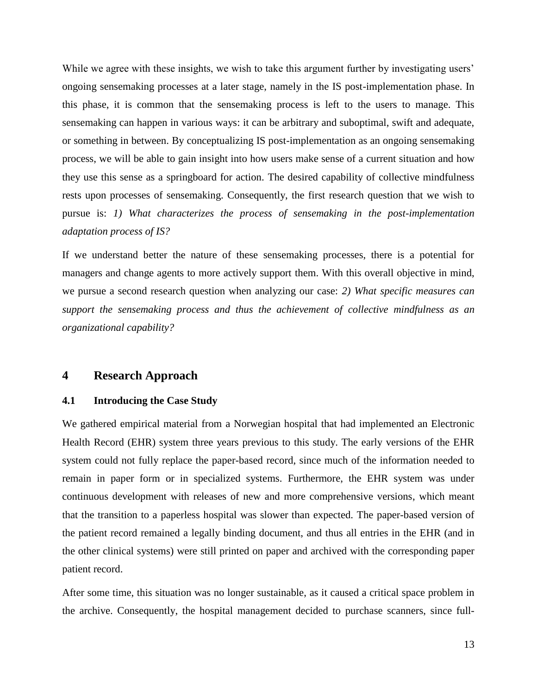While we agree with these insights, we wish to take this argument further by investigating users' ongoing sensemaking processes at a later stage, namely in the IS post-implementation phase. In this phase, it is common that the sensemaking process is left to the users to manage. This sensemaking can happen in various ways: it can be arbitrary and suboptimal, swift and adequate, or something in between. By conceptualizing IS post-implementation as an ongoing sensemaking process, we will be able to gain insight into how users make sense of a current situation and how they use this sense as a springboard for action. The desired capability of collective mindfulness rests upon processes of sensemaking. Consequently, the first research question that we wish to pursue is: *1) What characterizes the process of sensemaking in the post-implementation adaptation process of IS?*

If we understand better the nature of these sensemaking processes, there is a potential for managers and change agents to more actively support them. With this overall objective in mind, we pursue a second research question when analyzing our case: *2) What specific measures can support the sensemaking process and thus the achievement of collective mindfulness as an organizational capability?*

# **4 Research Approach**

#### **4.1 Introducing the Case Study**

We gathered empirical material from a Norwegian hospital that had implemented an Electronic Health Record (EHR) system three years previous to this study. The early versions of the EHR system could not fully replace the paper-based record, since much of the information needed to remain in paper form or in specialized systems. Furthermore, the EHR system was under continuous development with releases of new and more comprehensive versions, which meant that the transition to a paperless hospital was slower than expected. The paper-based version of the patient record remained a legally binding document, and thus all entries in the EHR (and in the other clinical systems) were still printed on paper and archived with the corresponding paper patient record.

After some time, this situation was no longer sustainable, as it caused a critical space problem in the archive. Consequently, the hospital management decided to purchase scanners, since full-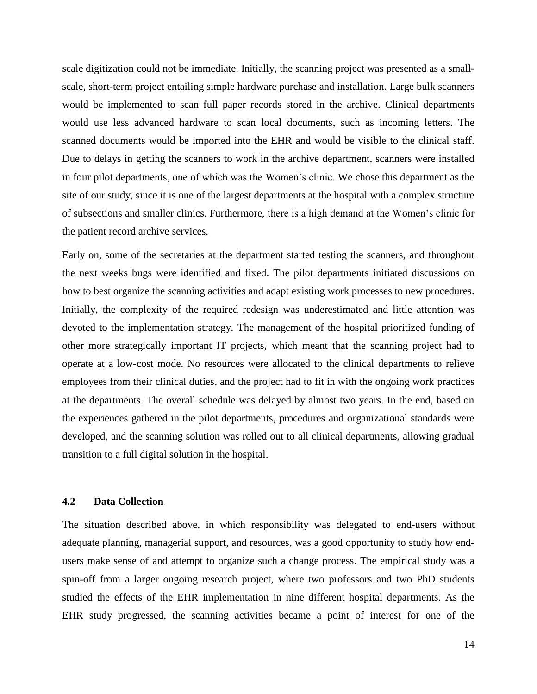scale digitization could not be immediate. Initially, the scanning project was presented as a smallscale, short-term project entailing simple hardware purchase and installation. Large bulk scanners would be implemented to scan full paper records stored in the archive. Clinical departments would use less advanced hardware to scan local documents, such as incoming letters. The scanned documents would be imported into the EHR and would be visible to the clinical staff. Due to delays in getting the scanners to work in the archive department, scanners were installed in four pilot departments, one of which was the Women's clinic. We chose this department as the site of our study, since it is one of the largest departments at the hospital with a complex structure of subsections and smaller clinics. Furthermore, there is a high demand at the Women's clinic for the patient record archive services.

Early on, some of the secretaries at the department started testing the scanners, and throughout the next weeks bugs were identified and fixed. The pilot departments initiated discussions on how to best organize the scanning activities and adapt existing work processes to new procedures. Initially, the complexity of the required redesign was underestimated and little attention was devoted to the implementation strategy. The management of the hospital prioritized funding of other more strategically important IT projects, which meant that the scanning project had to operate at a low-cost mode. No resources were allocated to the clinical departments to relieve employees from their clinical duties, and the project had to fit in with the ongoing work practices at the departments. The overall schedule was delayed by almost two years. In the end, based on the experiences gathered in the pilot departments, procedures and organizational standards were developed, and the scanning solution was rolled out to all clinical departments, allowing gradual transition to a full digital solution in the hospital.

### **4.2 Data Collection**

The situation described above, in which responsibility was delegated to end-users without adequate planning, managerial support, and resources, was a good opportunity to study how endusers make sense of and attempt to organize such a change process. The empirical study was a spin-off from a larger ongoing research project, where two professors and two PhD students studied the effects of the EHR implementation in nine different hospital departments. As the EHR study progressed, the scanning activities became a point of interest for one of the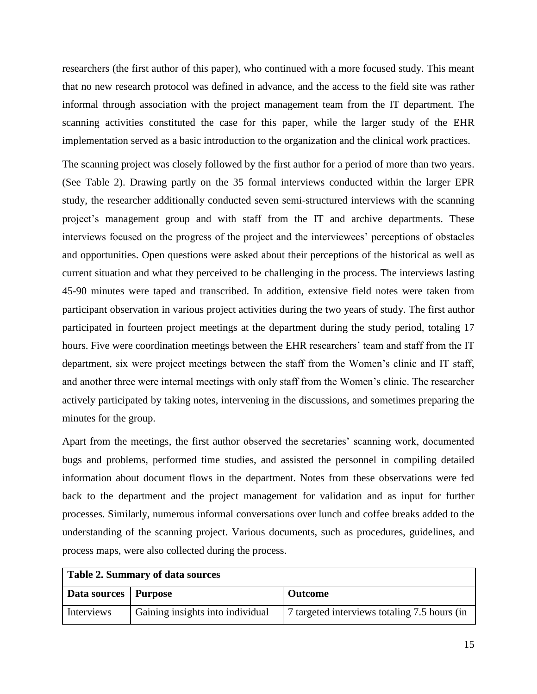researchers (the first author of this paper), who continued with a more focused study. This meant that no new research protocol was defined in advance, and the access to the field site was rather informal through association with the project management team from the IT department. The scanning activities constituted the case for this paper, while the larger study of the EHR implementation served as a basic introduction to the organization and the clinical work practices.

The scanning project was closely followed by the first author for a period of more than two years. (See Table 2). Drawing partly on the 35 formal interviews conducted within the larger EPR study, the researcher additionally conducted seven semi-structured interviews with the scanning project's management group and with staff from the IT and archive departments. These interviews focused on the progress of the project and the interviewees' perceptions of obstacles and opportunities. Open questions were asked about their perceptions of the historical as well as current situation and what they perceived to be challenging in the process. The interviews lasting 45-90 minutes were taped and transcribed. In addition, extensive field notes were taken from participant observation in various project activities during the two years of study. The first author participated in fourteen project meetings at the department during the study period, totaling 17 hours. Five were coordination meetings between the EHR researchers' team and staff from the IT department, six were project meetings between the staff from the Women's clinic and IT staff, and another three were internal meetings with only staff from the Women's clinic. The researcher actively participated by taking notes, intervening in the discussions, and sometimes preparing the minutes for the group.

Apart from the meetings, the first author observed the secretaries' scanning work, documented bugs and problems, performed time studies, and assisted the personnel in compiling detailed information about document flows in the department. Notes from these observations were fed back to the department and the project management for validation and as input for further processes. Similarly, numerous informal conversations over lunch and coffee breaks added to the understanding of the scanning project. Various documents, such as procedures, guidelines, and process maps, were also collected during the process.

| Table 2. Summary of data sources |                                  |                                              |
|----------------------------------|----------------------------------|----------------------------------------------|
| Data sources   Purpose           |                                  | <b>Outcome</b>                               |
| Interviews                       | Gaining insights into individual | 7 targeted interviews totaling 7.5 hours (in |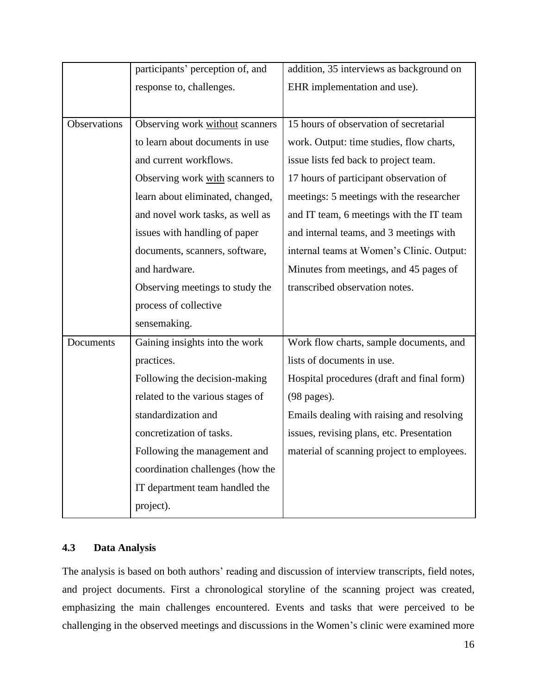|              | participants' perception of, and | addition, 35 interviews as background on   |
|--------------|----------------------------------|--------------------------------------------|
|              | response to, challenges.         | EHR implementation and use).               |
|              |                                  |                                            |
| Observations | Observing work without scanners  | 15 hours of observation of secretarial     |
|              | to learn about documents in use  | work. Output: time studies, flow charts,   |
|              | and current workflows.           | issue lists fed back to project team.      |
|              | Observing work with scanners to  | 17 hours of participant observation of     |
|              | learn about eliminated, changed, | meetings: 5 meetings with the researcher   |
|              | and novel work tasks, as well as | and IT team, 6 meetings with the IT team   |
|              | issues with handling of paper    | and internal teams, and 3 meetings with    |
|              | documents, scanners, software,   | internal teams at Women's Clinic. Output:  |
|              | and hardware.                    | Minutes from meetings, and 45 pages of     |
|              | Observing meetings to study the  | transcribed observation notes.             |
|              | process of collective            |                                            |
|              | sensemaking.                     |                                            |
| Documents    | Gaining insights into the work   | Work flow charts, sample documents, and    |
|              | practices.                       | lists of documents in use.                 |
|              | Following the decision-making    | Hospital procedures (draft and final form) |
|              | related to the various stages of | (98 pages).                                |
|              | standardization and              | Emails dealing with raising and resolving  |
|              | concretization of tasks.         | issues, revising plans, etc. Presentation  |
|              | Following the management and     | material of scanning project to employees. |
|              | coordination challenges (how the |                                            |
|              | IT department team handled the   |                                            |
|              | project).                        |                                            |

# **4.3 Data Analysis**

The analysis is based on both authors' reading and discussion of interview transcripts, field notes, and project documents. First a chronological storyline of the scanning project was created, emphasizing the main challenges encountered. Events and tasks that were perceived to be challenging in the observed meetings and discussions in the Women's clinic were examined more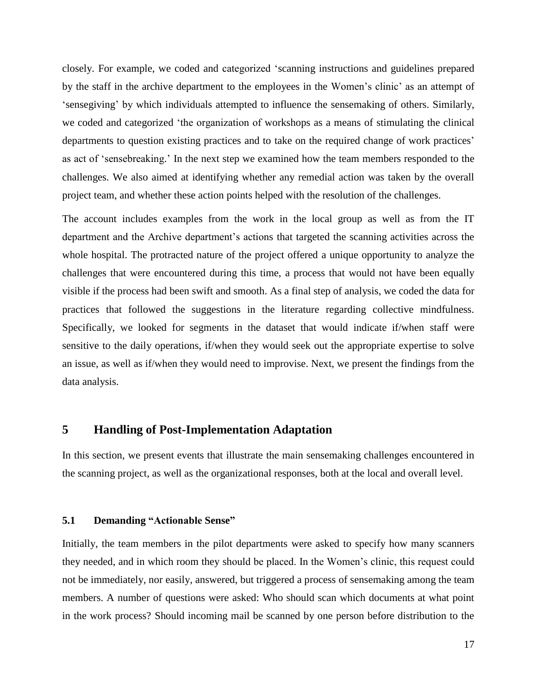closely. For example, we coded and categorized 'scanning instructions and guidelines prepared by the staff in the archive department to the employees in the Women's clinic' as an attempt of 'sensegiving' by which individuals attempted to influence the sensemaking of others. Similarly, we coded and categorized 'the organization of workshops as a means of stimulating the clinical departments to question existing practices and to take on the required change of work practices' as act of 'sensebreaking.' In the next step we examined how the team members responded to the challenges. We also aimed at identifying whether any remedial action was taken by the overall project team, and whether these action points helped with the resolution of the challenges.

The account includes examples from the work in the local group as well as from the IT department and the Archive department's actions that targeted the scanning activities across the whole hospital. The protracted nature of the project offered a unique opportunity to analyze the challenges that were encountered during this time, a process that would not have been equally visible if the process had been swift and smooth. As a final step of analysis, we coded the data for practices that followed the suggestions in the literature regarding collective mindfulness. Specifically, we looked for segments in the dataset that would indicate if/when staff were sensitive to the daily operations, if/when they would seek out the appropriate expertise to solve an issue, as well as if/when they would need to improvise. Next, we present the findings from the data analysis.

# **5 Handling of Post-Implementation Adaptation**

In this section, we present events that illustrate the main sensemaking challenges encountered in the scanning project, as well as the organizational responses, both at the local and overall level.

### **5.1 Demanding "Actionable Sense"**

Initially, the team members in the pilot departments were asked to specify how many scanners they needed, and in which room they should be placed. In the Women's clinic, this request could not be immediately, nor easily, answered, but triggered a process of sensemaking among the team members. A number of questions were asked: Who should scan which documents at what point in the work process? Should incoming mail be scanned by one person before distribution to the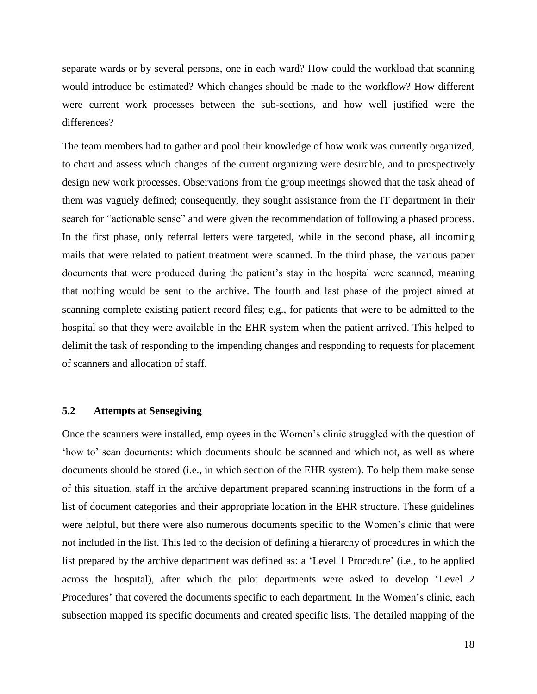separate wards or by several persons, one in each ward? How could the workload that scanning would introduce be estimated? Which changes should be made to the workflow? How different were current work processes between the sub-sections, and how well justified were the differences?

The team members had to gather and pool their knowledge of how work was currently organized, to chart and assess which changes of the current organizing were desirable, and to prospectively design new work processes. Observations from the group meetings showed that the task ahead of them was vaguely defined; consequently, they sought assistance from the IT department in their search for "actionable sense" and were given the recommendation of following a phased process. In the first phase, only referral letters were targeted, while in the second phase, all incoming mails that were related to patient treatment were scanned. In the third phase, the various paper documents that were produced during the patient's stay in the hospital were scanned, meaning that nothing would be sent to the archive. The fourth and last phase of the project aimed at scanning complete existing patient record files; e.g., for patients that were to be admitted to the hospital so that they were available in the EHR system when the patient arrived. This helped to delimit the task of responding to the impending changes and responding to requests for placement of scanners and allocation of staff.

### **5.2 Attempts at Sensegiving**

Once the scanners were installed, employees in the Women's clinic struggled with the question of 'how to' scan documents: which documents should be scanned and which not, as well as where documents should be stored (i.e., in which section of the EHR system). To help them make sense of this situation, staff in the archive department prepared scanning instructions in the form of a list of document categories and their appropriate location in the EHR structure. These guidelines were helpful, but there were also numerous documents specific to the Women's clinic that were not included in the list. This led to the decision of defining a hierarchy of procedures in which the list prepared by the archive department was defined as: a 'Level 1 Procedure' (i.e., to be applied across the hospital), after which the pilot departments were asked to develop 'Level 2 Procedures' that covered the documents specific to each department. In the Women's clinic, each subsection mapped its specific documents and created specific lists. The detailed mapping of the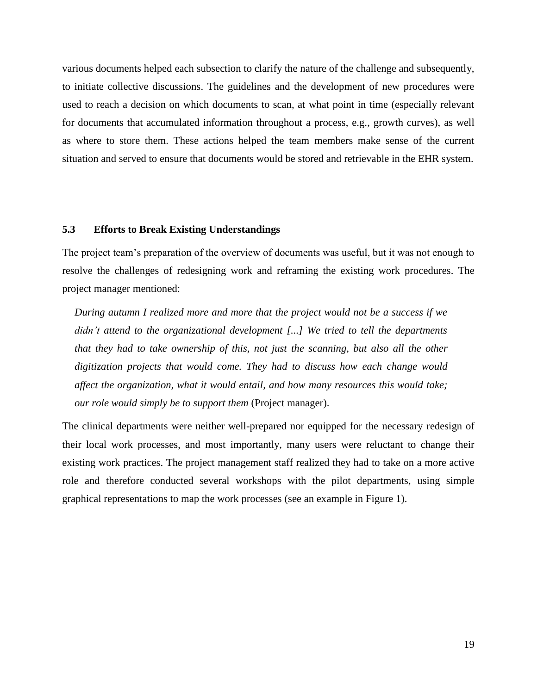various documents helped each subsection to clarify the nature of the challenge and subsequently, to initiate collective discussions. The guidelines and the development of new procedures were used to reach a decision on which documents to scan, at what point in time (especially relevant for documents that accumulated information throughout a process, e.g., growth curves), as well as where to store them. These actions helped the team members make sense of the current situation and served to ensure that documents would be stored and retrievable in the EHR system.

#### **5.3 Efforts to Break Existing Understandings**

The project team's preparation of the overview of documents was useful, but it was not enough to resolve the challenges of redesigning work and reframing the existing work procedures. The project manager mentioned:

*During autumn I realized more and more that the project would not be a success if we didn't attend to the organizational development [...] We tried to tell the departments that they had to take ownership of this, not just the scanning, but also all the other digitization projects that would come. They had to discuss how each change would affect the organization, what it would entail, and how many resources this would take; our role would simply be to support them* (Project manager).

The clinical departments were neither well-prepared nor equipped for the necessary redesign of their local work processes, and most importantly, many users were reluctant to change their existing work practices. The project management staff realized they had to take on a more active role and therefore conducted several workshops with the pilot departments, using simple graphical representations to map the work processes (see an example in Figure 1).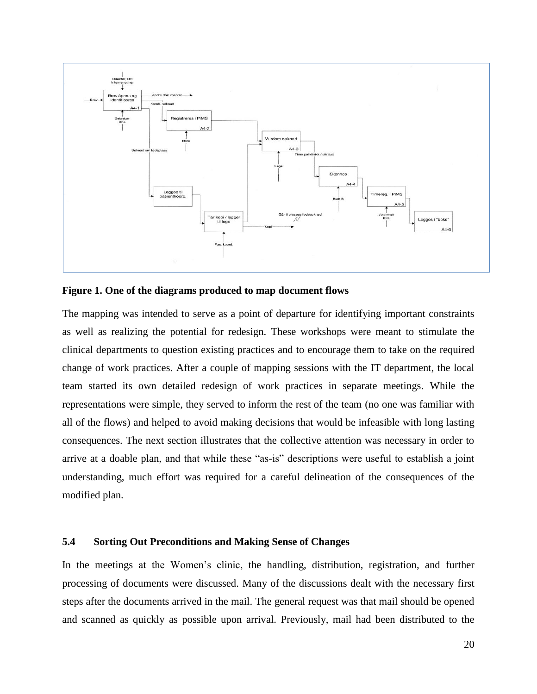

**Figure 1. One of the diagrams produced to map document flows**

The mapping was intended to serve as a point of departure for identifying important constraints as well as realizing the potential for redesign. These workshops were meant to stimulate the clinical departments to question existing practices and to encourage them to take on the required change of work practices. After a couple of mapping sessions with the IT department, the local team started its own detailed redesign of work practices in separate meetings. While the representations were simple, they served to inform the rest of the team (no one was familiar with all of the flows) and helped to avoid making decisions that would be infeasible with long lasting consequences. The next section illustrates that the collective attention was necessary in order to arrive at a doable plan, and that while these "as-is" descriptions were useful to establish a joint understanding, much effort was required for a careful delineation of the consequences of the modified plan.

#### **5.4 Sorting Out Preconditions and Making Sense of Changes**

In the meetings at the Women's clinic, the handling, distribution, registration, and further processing of documents were discussed. Many of the discussions dealt with the necessary first steps after the documents arrived in the mail. The general request was that mail should be opened and scanned as quickly as possible upon arrival. Previously, mail had been distributed to the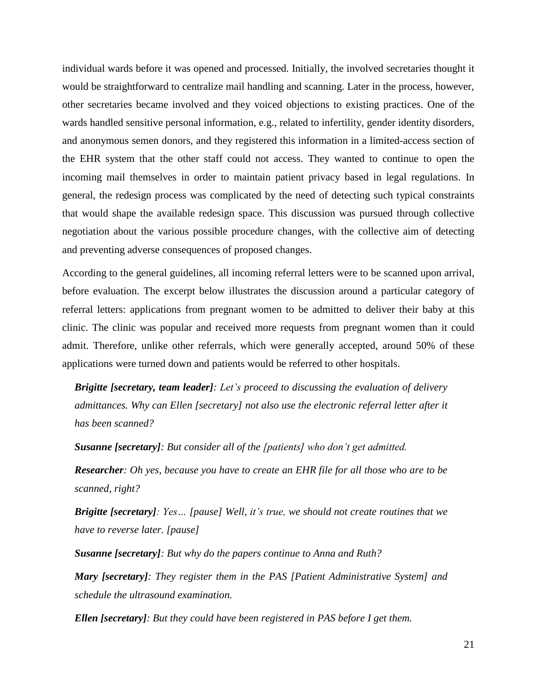individual wards before it was opened and processed. Initially, the involved secretaries thought it would be straightforward to centralize mail handling and scanning. Later in the process, however, other secretaries became involved and they voiced objections to existing practices. One of the wards handled sensitive personal information, e.g., related to infertility, gender identity disorders, and anonymous semen donors, and they registered this information in a limited-access section of the EHR system that the other staff could not access. They wanted to continue to open the incoming mail themselves in order to maintain patient privacy based in legal regulations. In general, the redesign process was complicated by the need of detecting such typical constraints that would shape the available redesign space. This discussion was pursued through collective negotiation about the various possible procedure changes, with the collective aim of detecting and preventing adverse consequences of proposed changes.

According to the general guidelines, all incoming referral letters were to be scanned upon arrival, before evaluation. The excerpt below illustrates the discussion around a particular category of referral letters: applications from pregnant women to be admitted to deliver their baby at this clinic. The clinic was popular and received more requests from pregnant women than it could admit. Therefore, unlike other referrals, which were generally accepted, around 50% of these applications were turned down and patients would be referred to other hospitals.

*Brigitte [secretary, team leader]: Let's proceed to discussing the evaluation of delivery admittances. Why can Ellen [secretary] not also use the electronic referral letter after it has been scanned?*

*Susanne [secretary]: But consider all of the [patients] who don't get admitted.*

*Researcher: Oh yes, because you have to create an EHR file for all those who are to be scanned, right?*

*Brigitte [secretary]: Yes… [pause] Well, it's true, we should not create routines that we have to reverse later. [pause]*

*Susanne [secretary]: But why do the papers continue to Anna and Ruth?*

*Mary [secretary]: They register them in the PAS [Patient Administrative System] and schedule the ultrasound examination.*

*Ellen [secretary]: But they could have been registered in PAS before I get them.*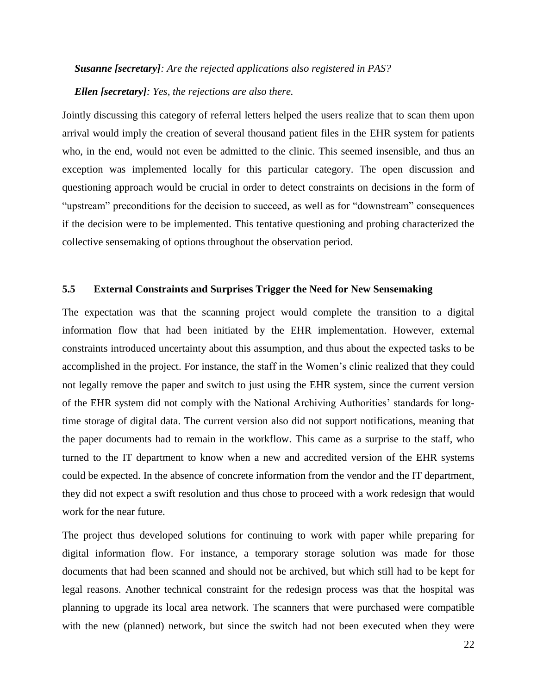#### *Susanne [secretary]: Are the rejected applications also registered in PAS?*

*Ellen [secretary]: Yes, the rejections are also there.*

Jointly discussing this category of referral letters helped the users realize that to scan them upon arrival would imply the creation of several thousand patient files in the EHR system for patients who, in the end, would not even be admitted to the clinic. This seemed insensible, and thus an exception was implemented locally for this particular category. The open discussion and questioning approach would be crucial in order to detect constraints on decisions in the form of "upstream" preconditions for the decision to succeed, as well as for "downstream" consequences if the decision were to be implemented. This tentative questioning and probing characterized the collective sensemaking of options throughout the observation period.

### **5.5 External Constraints and Surprises Trigger the Need for New Sensemaking**

The expectation was that the scanning project would complete the transition to a digital information flow that had been initiated by the EHR implementation. However, external constraints introduced uncertainty about this assumption, and thus about the expected tasks to be accomplished in the project. For instance, the staff in the Women's clinic realized that they could not legally remove the paper and switch to just using the EHR system, since the current version of the EHR system did not comply with the National Archiving Authorities' standards for longtime storage of digital data. The current version also did not support notifications, meaning that the paper documents had to remain in the workflow. This came as a surprise to the staff, who turned to the IT department to know when a new and accredited version of the EHR systems could be expected. In the absence of concrete information from the vendor and the IT department, they did not expect a swift resolution and thus chose to proceed with a work redesign that would work for the near future.

The project thus developed solutions for continuing to work with paper while preparing for digital information flow. For instance, a temporary storage solution was made for those documents that had been scanned and should not be archived, but which still had to be kept for legal reasons. Another technical constraint for the redesign process was that the hospital was planning to upgrade its local area network. The scanners that were purchased were compatible with the new (planned) network, but since the switch had not been executed when they were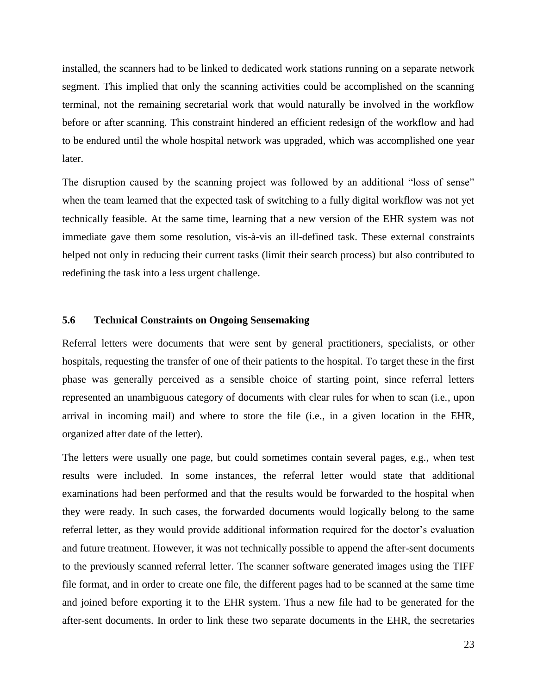installed, the scanners had to be linked to dedicated work stations running on a separate network segment. This implied that only the scanning activities could be accomplished on the scanning terminal, not the remaining secretarial work that would naturally be involved in the workflow before or after scanning. This constraint hindered an efficient redesign of the workflow and had to be endured until the whole hospital network was upgraded, which was accomplished one year later.

The disruption caused by the scanning project was followed by an additional "loss of sense" when the team learned that the expected task of switching to a fully digital workflow was not yet technically feasible. At the same time, learning that a new version of the EHR system was not immediate gave them some resolution, vis-à-vis an ill-defined task. These external constraints helped not only in reducing their current tasks (limit their search process) but also contributed to redefining the task into a less urgent challenge.

### **5.6 Technical Constraints on Ongoing Sensemaking**

Referral letters were documents that were sent by general practitioners, specialists, or other hospitals, requesting the transfer of one of their patients to the hospital. To target these in the first phase was generally perceived as a sensible choice of starting point, since referral letters represented an unambiguous category of documents with clear rules for when to scan (i.e., upon arrival in incoming mail) and where to store the file (i.e., in a given location in the EHR, organized after date of the letter).

The letters were usually one page, but could sometimes contain several pages, e.g., when test results were included. In some instances, the referral letter would state that additional examinations had been performed and that the results would be forwarded to the hospital when they were ready. In such cases, the forwarded documents would logically belong to the same referral letter, as they would provide additional information required for the doctor's evaluation and future treatment. However, it was not technically possible to append the after-sent documents to the previously scanned referral letter. The scanner software generated images using the TIFF file format, and in order to create one file, the different pages had to be scanned at the same time and joined before exporting it to the EHR system. Thus a new file had to be generated for the after-sent documents. In order to link these two separate documents in the EHR, the secretaries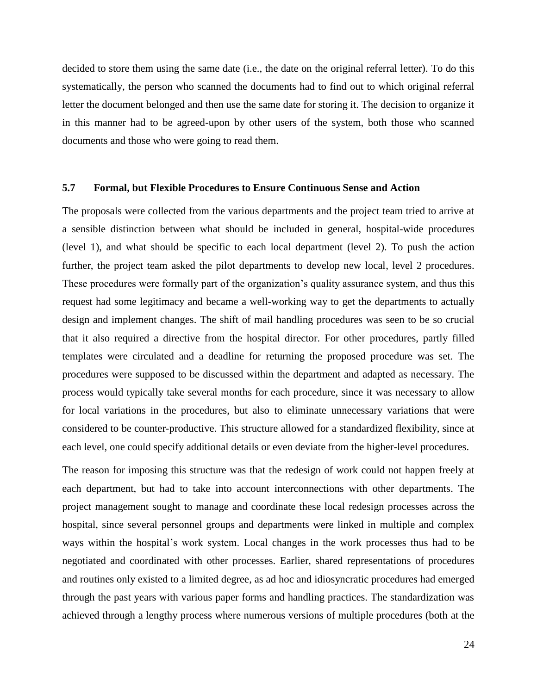decided to store them using the same date (i.e., the date on the original referral letter). To do this systematically, the person who scanned the documents had to find out to which original referral letter the document belonged and then use the same date for storing it. The decision to organize it in this manner had to be agreed-upon by other users of the system, both those who scanned documents and those who were going to read them.

#### **5.7 Formal, but Flexible Procedures to Ensure Continuous Sense and Action**

The proposals were collected from the various departments and the project team tried to arrive at a sensible distinction between what should be included in general, hospital-wide procedures (level 1), and what should be specific to each local department (level 2). To push the action further, the project team asked the pilot departments to develop new local, level 2 procedures. These procedures were formally part of the organization's quality assurance system, and thus this request had some legitimacy and became a well-working way to get the departments to actually design and implement changes. The shift of mail handling procedures was seen to be so crucial that it also required a directive from the hospital director. For other procedures, partly filled templates were circulated and a deadline for returning the proposed procedure was set. The procedures were supposed to be discussed within the department and adapted as necessary. The process would typically take several months for each procedure, since it was necessary to allow for local variations in the procedures, but also to eliminate unnecessary variations that were considered to be counter-productive. This structure allowed for a standardized flexibility, since at each level, one could specify additional details or even deviate from the higher-level procedures.

The reason for imposing this structure was that the redesign of work could not happen freely at each department, but had to take into account interconnections with other departments. The project management sought to manage and coordinate these local redesign processes across the hospital, since several personnel groups and departments were linked in multiple and complex ways within the hospital's work system. Local changes in the work processes thus had to be negotiated and coordinated with other processes. Earlier, shared representations of procedures and routines only existed to a limited degree, as ad hoc and idiosyncratic procedures had emerged through the past years with various paper forms and handling practices. The standardization was achieved through a lengthy process where numerous versions of multiple procedures (both at the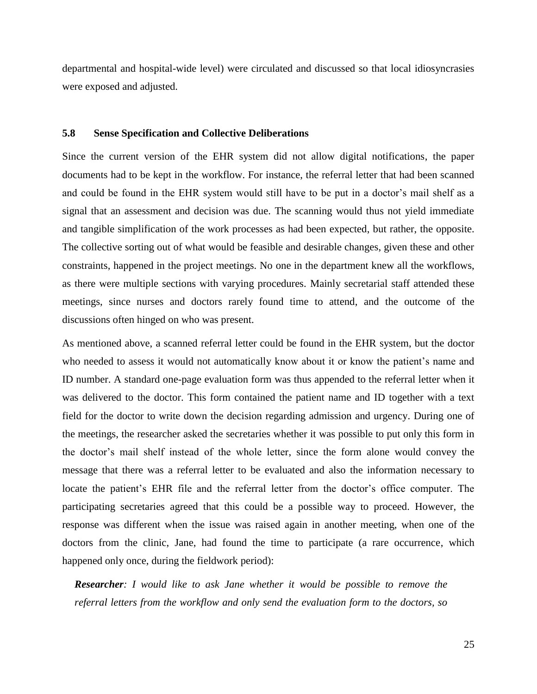departmental and hospital-wide level) were circulated and discussed so that local idiosyncrasies were exposed and adjusted.

#### **5.8 Sense Specification and Collective Deliberations**

Since the current version of the EHR system did not allow digital notifications, the paper documents had to be kept in the workflow. For instance, the referral letter that had been scanned and could be found in the EHR system would still have to be put in a doctor's mail shelf as a signal that an assessment and decision was due. The scanning would thus not yield immediate and tangible simplification of the work processes as had been expected, but rather, the opposite. The collective sorting out of what would be feasible and desirable changes, given these and other constraints, happened in the project meetings. No one in the department knew all the workflows, as there were multiple sections with varying procedures. Mainly secretarial staff attended these meetings, since nurses and doctors rarely found time to attend, and the outcome of the discussions often hinged on who was present.

As mentioned above, a scanned referral letter could be found in the EHR system, but the doctor who needed to assess it would not automatically know about it or know the patient's name and ID number. A standard one-page evaluation form was thus appended to the referral letter when it was delivered to the doctor. This form contained the patient name and ID together with a text field for the doctor to write down the decision regarding admission and urgency. During one of the meetings, the researcher asked the secretaries whether it was possible to put only this form in the doctor's mail shelf instead of the whole letter, since the form alone would convey the message that there was a referral letter to be evaluated and also the information necessary to locate the patient's EHR file and the referral letter from the doctor's office computer. The participating secretaries agreed that this could be a possible way to proceed. However, the response was different when the issue was raised again in another meeting, when one of the doctors from the clinic, Jane, had found the time to participate (a rare occurrence, which happened only once, during the fieldwork period):

*Researcher: I would like to ask Jane whether it would be possible to remove the referral letters from the workflow and only send the evaluation form to the doctors, so*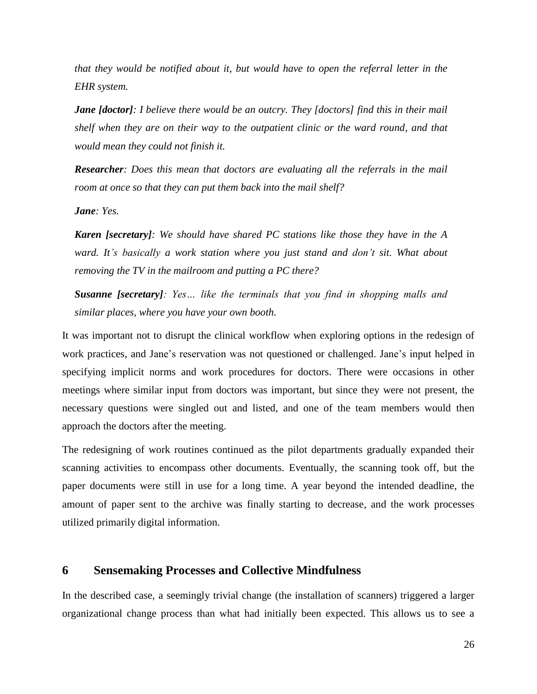*that they would be notified about it, but would have to open the referral letter in the EHR system.*

*Jane [doctor]: I believe there would be an outcry. They [doctors] find this in their mail shelf when they are on their way to the outpatient clinic or the ward round, and that would mean they could not finish it.*

*Researcher: Does this mean that doctors are evaluating all the referrals in the mail room at once so that they can put them back into the mail shelf?*

*Jane: Yes.*

*Karen [secretary]: We should have shared PC stations like those they have in the A ward. It's basically a work station where you just stand and don't sit. What about removing the TV in the mailroom and putting a PC there?* 

*Susanne [secretary]: Yes… like the terminals that you find in shopping malls and similar places, where you have your own booth.*

It was important not to disrupt the clinical workflow when exploring options in the redesign of work practices, and Jane's reservation was not questioned or challenged. Jane's input helped in specifying implicit norms and work procedures for doctors. There were occasions in other meetings where similar input from doctors was important, but since they were not present, the necessary questions were singled out and listed, and one of the team members would then approach the doctors after the meeting.

The redesigning of work routines continued as the pilot departments gradually expanded their scanning activities to encompass other documents. Eventually, the scanning took off, but the paper documents were still in use for a long time. A year beyond the intended deadline, the amount of paper sent to the archive was finally starting to decrease, and the work processes utilized primarily digital information.

# **6 Sensemaking Processes and Collective Mindfulness**

In the described case, a seemingly trivial change (the installation of scanners) triggered a larger organizational change process than what had initially been expected. This allows us to see a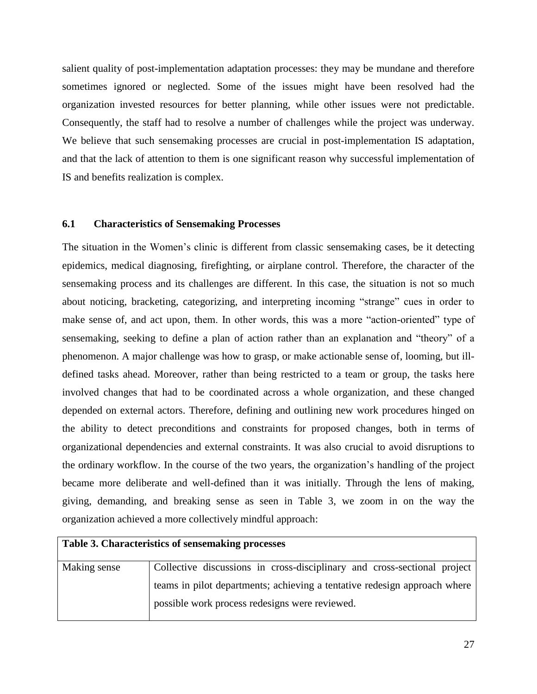salient quality of post-implementation adaptation processes: they may be mundane and therefore sometimes ignored or neglected. Some of the issues might have been resolved had the organization invested resources for better planning, while other issues were not predictable. Consequently, the staff had to resolve a number of challenges while the project was underway. We believe that such sensemaking processes are crucial in post-implementation IS adaptation, and that the lack of attention to them is one significant reason why successful implementation of IS and benefits realization is complex.

### **6.1 Characteristics of Sensemaking Processes**

The situation in the Women's clinic is different from classic sensemaking cases, be it detecting epidemics, medical diagnosing, firefighting, or airplane control. Therefore, the character of the sensemaking process and its challenges are different. In this case, the situation is not so much about noticing, bracketing, categorizing, and interpreting incoming "strange" cues in order to make sense of, and act upon, them. In other words, this was a more "action-oriented" type of sensemaking, seeking to define a plan of action rather than an explanation and "theory" of a phenomenon. A major challenge was how to grasp, or make actionable sense of, looming, but illdefined tasks ahead. Moreover, rather than being restricted to a team or group, the tasks here involved changes that had to be coordinated across a whole organization, and these changed depended on external actors. Therefore, defining and outlining new work procedures hinged on the ability to detect preconditions and constraints for proposed changes, both in terms of organizational dependencies and external constraints. It was also crucial to avoid disruptions to the ordinary workflow. In the course of the two years, the organization's handling of the project became more deliberate and well-defined than it was initially. Through the lens of making, giving, demanding, and breaking sense as seen in Table 3, we zoom in on the way the organization achieved a more collectively mindful approach:

| Table 3. Characteristics of sensemaking processes |                                                                                                                             |  |
|---------------------------------------------------|-----------------------------------------------------------------------------------------------------------------------------|--|
| Making sense                                      | Collective discussions in cross-disciplinary and cross-sectional project                                                    |  |
|                                                   | teams in pilot departments; achieving a tentative redesign approach where<br>possible work process redesigns were reviewed. |  |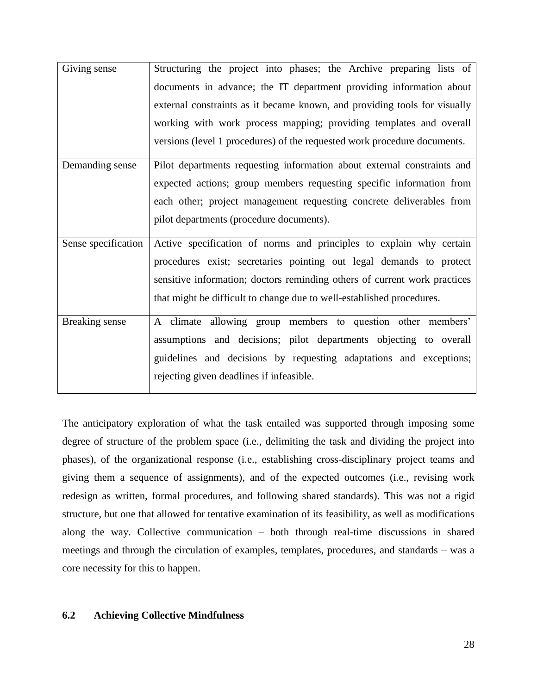| Giving sense          | Structuring the project into phases; the Archive preparing lists of       |  |
|-----------------------|---------------------------------------------------------------------------|--|
|                       | documents in advance; the IT department providing information about       |  |
|                       | external constraints as it became known, and providing tools for visually |  |
|                       | working with work process mapping; providing templates and overall        |  |
|                       | versions (level 1 procedures) of the requested work procedure documents.  |  |
| Demanding sense       | Pilot departments requesting information about external constraints and   |  |
|                       | expected actions; group members requesting specific information from      |  |
|                       | each other; project management requesting concrete deliverables from      |  |
|                       | pilot departments (procedure documents).                                  |  |
| Sense specification   | Active specification of norms and principles to explain why certain       |  |
|                       | procedures exist; secretaries pointing out legal demands to protect       |  |
|                       | sensitive information; doctors reminding others of current work practices |  |
|                       | that might be difficult to change due to well-established procedures.     |  |
| <b>Breaking</b> sense | A climate allowing group members to question other members'               |  |
|                       | assumptions and decisions; pilot departments objecting to overall         |  |
|                       | guidelines and decisions by requesting adaptations and exceptions;        |  |
|                       | rejecting given deadlines if infeasible.                                  |  |
|                       |                                                                           |  |

The anticipatory exploration of what the task entailed was supported through imposing some degree of structure of the problem space (i.e., delimiting the task and dividing the project into phases), of the organizational response (i.e., establishing cross-disciplinary project teams and giving them a sequence of assignments), and of the expected outcomes (i.e., revising work redesign as written, formal procedures, and following shared standards). This was not a rigid structure, but one that allowed for tentative examination of its feasibility, as well as modifications along the way. Collective communication – both through real-time discussions in shared meetings and through the circulation of examples, templates, procedures, and standards – was a core necessity for this to happen.

### **6.2 Achieving Collective Mindfulness**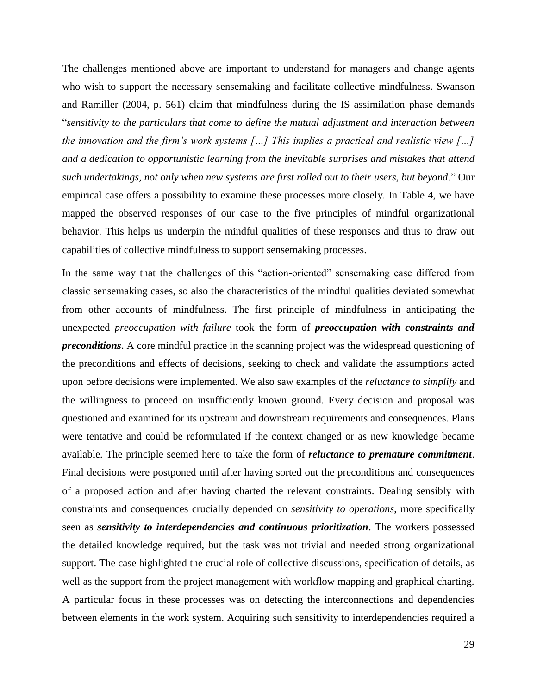The challenges mentioned above are important to understand for managers and change agents who wish to support the necessary sensemaking and facilitate collective mindfulness. Swanson and Ramiller (2004, p. 561) claim that mindfulness during the IS assimilation phase demands "*sensitivity to the particulars that come to define the mutual adjustment and interaction between the innovation and the firm's work systems […] This implies a practical and realistic view […] and a dedication to opportunistic learning from the inevitable surprises and mistakes that attend such undertakings, not only when new systems are first rolled out to their users, but beyond*." Our empirical case offers a possibility to examine these processes more closely. In Table 4, we have mapped the observed responses of our case to the five principles of mindful organizational behavior. This helps us underpin the mindful qualities of these responses and thus to draw out capabilities of collective mindfulness to support sensemaking processes.

In the same way that the challenges of this "action-oriented" sensemaking case differed from classic sensemaking cases, so also the characteristics of the mindful qualities deviated somewhat from other accounts of mindfulness. The first principle of mindfulness in anticipating the unexpected *preoccupation with failure* took the form of *preoccupation with constraints and preconditions*. A core mindful practice in the scanning project was the widespread questioning of the preconditions and effects of decisions, seeking to check and validate the assumptions acted upon before decisions were implemented. We also saw examples of the *reluctance to simplify* and the willingness to proceed on insufficiently known ground. Every decision and proposal was questioned and examined for its upstream and downstream requirements and consequences. Plans were tentative and could be reformulated if the context changed or as new knowledge became available. The principle seemed here to take the form of *reluctance to premature commitment*. Final decisions were postponed until after having sorted out the preconditions and consequences of a proposed action and after having charted the relevant constraints. Dealing sensibly with constraints and consequences crucially depended on *sensitivity to operations*, more specifically seen as *sensitivity to interdependencies and continuous prioritization*. The workers possessed the detailed knowledge required, but the task was not trivial and needed strong organizational support. The case highlighted the crucial role of collective discussions, specification of details, as well as the support from the project management with workflow mapping and graphical charting. A particular focus in these processes was on detecting the interconnections and dependencies between elements in the work system. Acquiring such sensitivity to interdependencies required a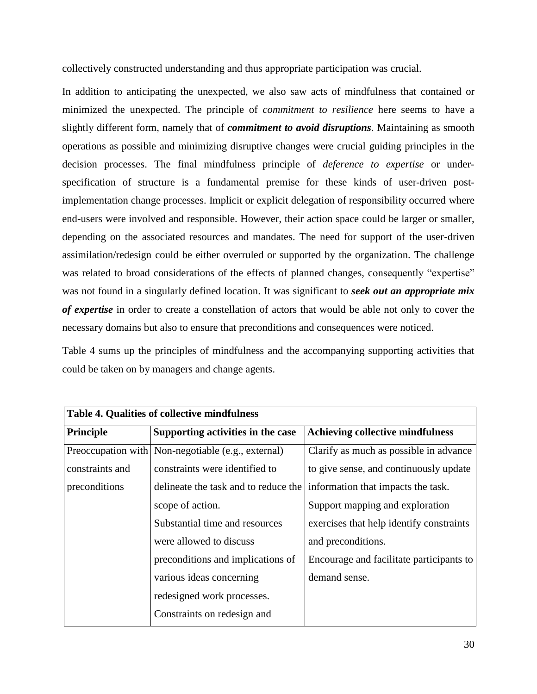collectively constructed understanding and thus appropriate participation was crucial.

In addition to anticipating the unexpected, we also saw acts of mindfulness that contained or minimized the unexpected. The principle of *commitment to resilience* here seems to have a slightly different form, namely that of *commitment to avoid disruptions*. Maintaining as smooth operations as possible and minimizing disruptive changes were crucial guiding principles in the decision processes. The final mindfulness principle of *deference to expertise* or underspecification of structure is a fundamental premise for these kinds of user-driven postimplementation change processes. Implicit or explicit delegation of responsibility occurred where end-users were involved and responsible. However, their action space could be larger or smaller, depending on the associated resources and mandates. The need for support of the user-driven assimilation/redesign could be either overruled or supported by the organization. The challenge was related to broad considerations of the effects of planned changes, consequently "expertise" was not found in a singularly defined location. It was significant to *seek out an appropriate mix of expertise* in order to create a constellation of actors that would be able not only to cover the necessary domains but also to ensure that preconditions and consequences were noticed.

Table 4 sums up the principles of mindfulness and the accompanying supporting activities that could be taken on by managers and change agents.

| <b>Table 4. Qualities of collective mindfulness</b> |                                                      |                                          |  |
|-----------------------------------------------------|------------------------------------------------------|------------------------------------------|--|
| <b>Principle</b>                                    | Supporting activities in the case                    | <b>Achieving collective mindfulness</b>  |  |
|                                                     | Preoccupation with   Non-negotiable (e.g., external) | Clarify as much as possible in advance   |  |
| constraints and                                     | constraints were identified to                       | to give sense, and continuously update   |  |
| preconditions                                       | delineate the task and to reduce the                 | information that impacts the task.       |  |
|                                                     | scope of action.                                     | Support mapping and exploration          |  |
|                                                     | Substantial time and resources                       | exercises that help identify constraints |  |
|                                                     | were allowed to discuss                              | and preconditions.                       |  |
|                                                     | preconditions and implications of                    | Encourage and facilitate participants to |  |
|                                                     | various ideas concerning                             | demand sense.                            |  |
|                                                     | redesigned work processes.                           |                                          |  |
|                                                     | Constraints on redesign and                          |                                          |  |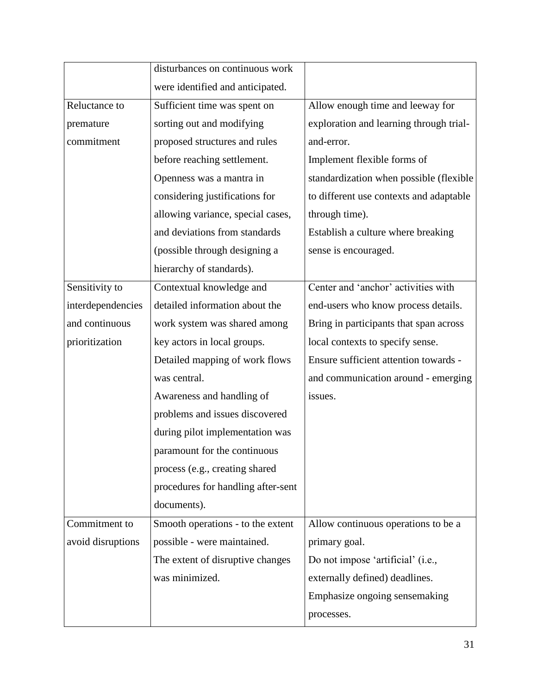|                   | disturbances on continuous work    |                                         |
|-------------------|------------------------------------|-----------------------------------------|
|                   | were identified and anticipated.   |                                         |
| Reluctance to     | Sufficient time was spent on       | Allow enough time and leeway for        |
| premature         | sorting out and modifying          | exploration and learning through trial- |
| commitment        | proposed structures and rules      | and-error.                              |
|                   | before reaching settlement.        | Implement flexible forms of             |
|                   | Openness was a mantra in           | standardization when possible (flexible |
|                   | considering justifications for     | to different use contexts and adaptable |
|                   | allowing variance, special cases,  | through time).                          |
|                   | and deviations from standards      | Establish a culture where breaking      |
|                   | (possible through designing a      | sense is encouraged.                    |
|                   | hierarchy of standards).           |                                         |
| Sensitivity to    | Contextual knowledge and           | Center and 'anchor' activities with     |
| interdependencies | detailed information about the     | end-users who know process details.     |
| and continuous    | work system was shared among       | Bring in participants that span across  |
| prioritization    | key actors in local groups.        | local contexts to specify sense.        |
|                   | Detailed mapping of work flows     | Ensure sufficient attention towards -   |
|                   | was central.                       | and communication around - emerging     |
|                   | Awareness and handling of          | issues.                                 |
|                   | problems and issues discovered     |                                         |
|                   | during pilot implementation was    |                                         |
|                   | paramount for the continuous       |                                         |
|                   | process (e.g., creating shared     |                                         |
|                   | procedures for handling after-sent |                                         |
|                   | documents).                        |                                         |
| Commitment to     | Smooth operations - to the extent  | Allow continuous operations to be a     |
| avoid disruptions | possible - were maintained.        | primary goal.                           |
|                   | The extent of disruptive changes   | Do not impose 'artificial' (i.e.,       |
|                   | was minimized.                     | externally defined) deadlines.          |
|                   |                                    | Emphasize ongoing sensemaking           |
|                   |                                    | processes.                              |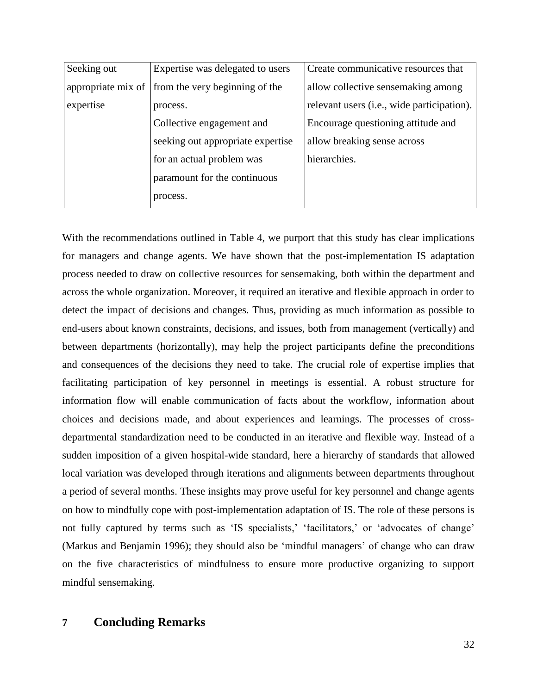| Seeking out        | Expertise was delegated to users  | Create communicative resources that                 |
|--------------------|-----------------------------------|-----------------------------------------------------|
| appropriate mix of | from the very beginning of the    | allow collective sensemaking among                  |
| expertise          | process.                          | relevant users ( <i>i.e.</i> , wide participation). |
|                    | Collective engagement and         | Encourage questioning attitude and                  |
|                    | seeking out appropriate expertise | allow breaking sense across                         |
|                    | for an actual problem was         | hierarchies.                                        |
|                    | paramount for the continuous      |                                                     |
|                    | process.                          |                                                     |

With the recommendations outlined in Table 4, we purport that this study has clear implications for managers and change agents. We have shown that the post-implementation IS adaptation process needed to draw on collective resources for sensemaking, both within the department and across the whole organization. Moreover, it required an iterative and flexible approach in order to detect the impact of decisions and changes. Thus, providing as much information as possible to end-users about known constraints, decisions, and issues, both from management (vertically) and between departments (horizontally), may help the project participants define the preconditions and consequences of the decisions they need to take. The crucial role of expertise implies that facilitating participation of key personnel in meetings is essential. A robust structure for information flow will enable communication of facts about the workflow, information about choices and decisions made, and about experiences and learnings. The processes of crossdepartmental standardization need to be conducted in an iterative and flexible way. Instead of a sudden imposition of a given hospital-wide standard, here a hierarchy of standards that allowed local variation was developed through iterations and alignments between departments throughout a period of several months. These insights may prove useful for key personnel and change agents on how to mindfully cope with post-implementation adaptation of IS. The role of these persons is not fully captured by terms such as 'IS specialists,' 'facilitators,' or 'advocates of change' (Markus and Benjamin 1996); they should also be 'mindful managers' of change who can draw on the five characteristics of mindfulness to ensure more productive organizing to support mindful sensemaking.

# **7 Concluding Remarks**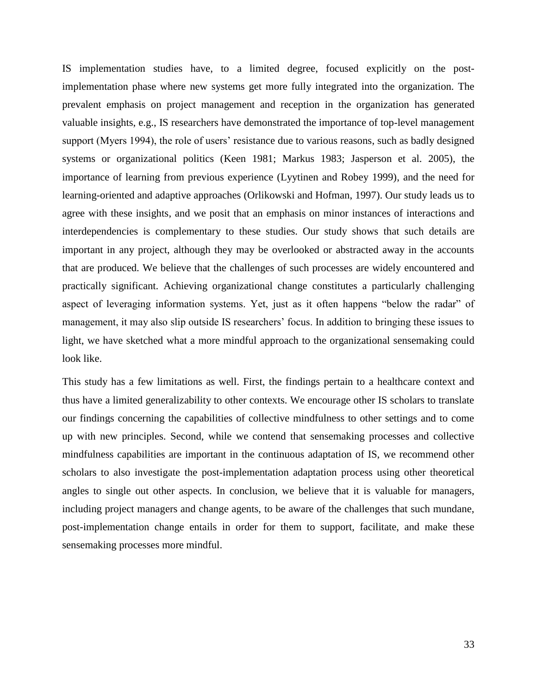IS implementation studies have, to a limited degree, focused explicitly on the postimplementation phase where new systems get more fully integrated into the organization. The prevalent emphasis on project management and reception in the organization has generated valuable insights, e.g., IS researchers have demonstrated the importance of top-level management support (Myers 1994), the role of users' resistance due to various reasons, such as badly designed systems or organizational politics (Keen 1981; Markus 1983; Jasperson et al. 2005), the importance of learning from previous experience (Lyytinen and Robey 1999), and the need for learning-oriented and adaptive approaches (Orlikowski and Hofman, 1997). Our study leads us to agree with these insights, and we posit that an emphasis on minor instances of interactions and interdependencies is complementary to these studies. Our study shows that such details are important in any project, although they may be overlooked or abstracted away in the accounts that are produced. We believe that the challenges of such processes are widely encountered and practically significant. Achieving organizational change constitutes a particularly challenging aspect of leveraging information systems. Yet, just as it often happens "below the radar" of management, it may also slip outside IS researchers' focus. In addition to bringing these issues to light, we have sketched what a more mindful approach to the organizational sensemaking could look like.

This study has a few limitations as well. First, the findings pertain to a healthcare context and thus have a limited generalizability to other contexts. We encourage other IS scholars to translate our findings concerning the capabilities of collective mindfulness to other settings and to come up with new principles. Second, while we contend that sensemaking processes and collective mindfulness capabilities are important in the continuous adaptation of IS, we recommend other scholars to also investigate the post-implementation adaptation process using other theoretical angles to single out other aspects. In conclusion, we believe that it is valuable for managers, including project managers and change agents, to be aware of the challenges that such mundane, post-implementation change entails in order for them to support, facilitate, and make these sensemaking processes more mindful.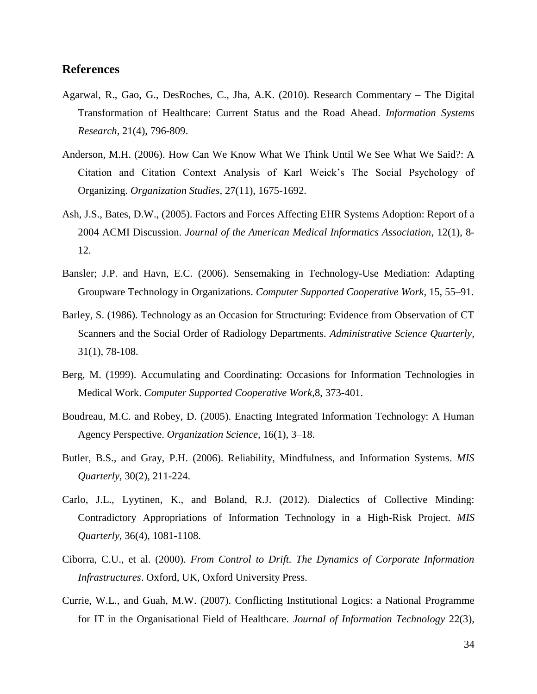# **References**

- Agarwal, R., Gao, G., DesRoches, C., Jha, A.K. (2010). Research Commentary The Digital Transformation of Healthcare: Current Status and the Road Ahead. *Information Systems Research,* 21(4), 796-809.
- Anderson, M.H. (2006). How Can We Know What We Think Until We See What We Said?: A Citation and Citation Context Analysis of Karl Weick's The Social Psychology of Organizing. *Organization Studies,* 27(11), 1675-1692.
- Ash, J.S., Bates, D.W., (2005). Factors and Forces Affecting EHR Systems Adoption: Report of a 2004 ACMI Discussion. *Journal of the American Medical Informatics Association*, 12(1), 8- 12.
- Bansler; J.P. and Havn, E.C. (2006). Sensemaking in Technology-Use Mediation: Adapting Groupware Technology in Organizations. *Computer Supported Cooperative Work,* 15, 55–91.
- Barley, S. (1986). Technology as an Occasion for Structuring: Evidence from Observation of CT Scanners and the Social Order of Radiology Departments. *Administrative Science Quarterly,* 31(1), 78-108.
- Berg, M. (1999). Accumulating and Coordinating: Occasions for Information Technologies in Medical Work. *Computer Supported Cooperative Work*,8, 373-401.
- Boudreau, M.C. and Robey, D. (2005). Enacting Integrated Information Technology: A Human Agency Perspective. *Organization Science,* 16(1), 3–18.
- Butler, B.S., and Gray, P.H. (2006). Reliability, Mindfulness, and Information Systems. *MIS Quarterly,* 30(2), 211-224.
- Carlo, J.L., Lyytinen, K., and Boland, R.J. (2012). Dialectics of Collective Minding: Contradictory Appropriations of Information Technology in a High-Risk Project. *MIS Quarterly,* 36(4), 1081-1108.
- Ciborra, C.U., et al. (2000). *From Control to Drift. The Dynamics of Corporate Information Infrastructures*. Oxford, UK, Oxford University Press.
- Currie, W.L., and Guah, M.W. (2007). Conflicting Institutional Logics: a National Programme for IT in the Organisational Field of Healthcare. *Journal of Information Technology* 22(3),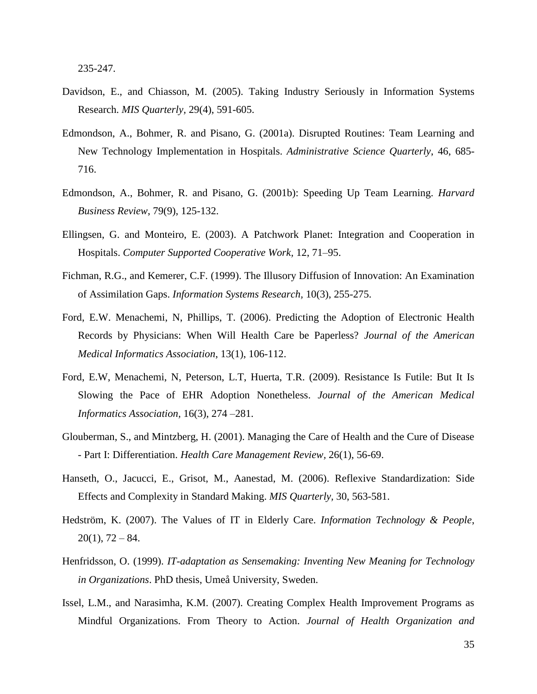235-247.

- Davidson, E., and Chiasson, M. (2005). Taking Industry Seriously in Information Systems Research. *MIS Quarterly,* 29(4), 591-605.
- Edmondson, A., Bohmer, R. and Pisano, G. (2001a). Disrupted Routines: Team Learning and New Technology Implementation in Hospitals. *Administrative Science Quarterly*, 46, 685- 716.
- Edmondson, A., Bohmer, R. and Pisano, G. (2001b): Speeding Up Team Learning. *Harvard Business Review*, 79(9), 125-132.
- Ellingsen, G. and Monteiro, E. (2003). A Patchwork Planet: Integration and Cooperation in Hospitals. *Computer Supported Cooperative Work,* 12, 71–95.
- Fichman, R.G., and Kemerer, C.F. (1999). The Illusory Diffusion of Innovation: An Examination of Assimilation Gaps. *Information Systems Research,* 10(3), 255-275.
- Ford, E.W. Menachemi, N, Phillips, T. (2006). Predicting the Adoption of Electronic Health Records by Physicians: When Will Health Care be Paperless? *Journal of the American Medical Informatics Association*, 13(1), 106-112.
- Ford, E.W, Menachemi, N, Peterson, L.T, Huerta, T.R. (2009). Resistance Is Futile: But It Is Slowing the Pace of EHR Adoption Nonetheless. *Journal of the American Medical Informatics Association,* 16(3), 274 –281.
- Glouberman, S., and Mintzberg, H. (2001). Managing the Care of Health and the Cure of Disease - Part I: Differentiation. *Health Care Management Review,* 26(1), 56-69.
- Hanseth, O., Jacucci, E., Grisot, M., Aanestad, M. (2006). Reflexive Standardization: Side Effects and Complexity in Standard Making. *MIS Quarterly,* 30, 563-581.
- Hedström, K. (2007). The Values of IT in Elderly Care. *Information Technology & People*,  $20(1)$ ,  $72 - 84$ .
- Henfridsson, O. (1999). *IT-adaptation as Sensemaking: Inventing New Meaning for Technology in Organizations*. PhD thesis, Umeå University, Sweden.
- Issel, L.M., and Narasimha, K.M. (2007). Creating Complex Health Improvement Programs as Mindful Organizations. From Theory to Action. *Journal of Health Organization and*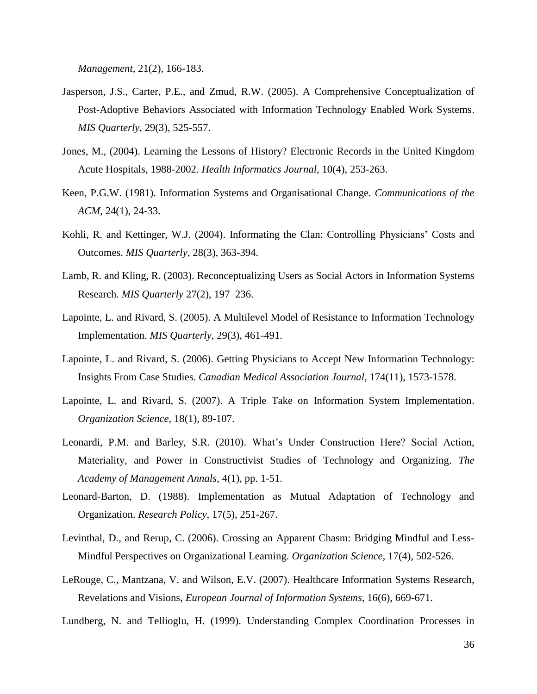*Management,* 21(2), 166-183.

- Jasperson, J.S., Carter, P.E., and Zmud, R.W. (2005). A Comprehensive Conceptualization of Post-Adoptive Behaviors Associated with Information Technology Enabled Work Systems. *MIS Quarterly,* 29(3), 525-557.
- Jones, M., (2004). Learning the Lessons of History? Electronic Records in the United Kingdom Acute Hospitals, 1988-2002. *Health Informatics Journal,* 10(4), 253-263.
- Keen, P.G.W. (1981). Information Systems and Organisational Change. *Communications of the ACM,* 24(1), 24-33.
- Kohli, R. and Kettinger, W.J. (2004). Informating the Clan: Controlling Physicians' Costs and Outcomes. *MIS Quarterly*, 28(3), 363-394.
- Lamb, R. and Kling, R. (2003). Reconceptualizing Users as Social Actors in Information Systems Research. *MIS Quarterly* 27(2), 197–236.
- Lapointe, L. and Rivard, S. (2005). A Multilevel Model of Resistance to Information Technology Implementation. *MIS Quarterly*, 29(3), 461-491.
- Lapointe, L. and Rivard, S. (2006). Getting Physicians to Accept New Information Technology: Insights From Case Studies. *Canadian Medical Association Journal*, 174(11), 1573-1578.
- Lapointe, L. and Rivard, S. (2007). A Triple Take on Information System Implementation. *Organization Science*, 18(1), 89-107.
- Leonardi, P.M. and Barley, S.R. (2010). What's Under Construction Here? Social Action, Materiality, and Power in Constructivist Studies of Technology and Organizing. *The Academy of Management Annals*, 4(1), pp. 1-51.
- Leonard-Barton, D. (1988). Implementation as Mutual Adaptation of Technology and Organization. *Research Policy,* 17(5), 251-267.
- Levinthal, D., and Rerup, C. (2006). Crossing an Apparent Chasm: Bridging Mindful and Less-Mindful Perspectives on Organizational Learning. *Organization Science,* 17(4), 502-526.
- LeRouge, C., Mantzana, V. and Wilson, E.V. (2007). Healthcare Information Systems Research, Revelations and Visions, *European Journal of Information Systems,* 16(6), 669-671.
- Lundberg, N. and Tellioglu, H. (1999). Understanding Complex Coordination Processes in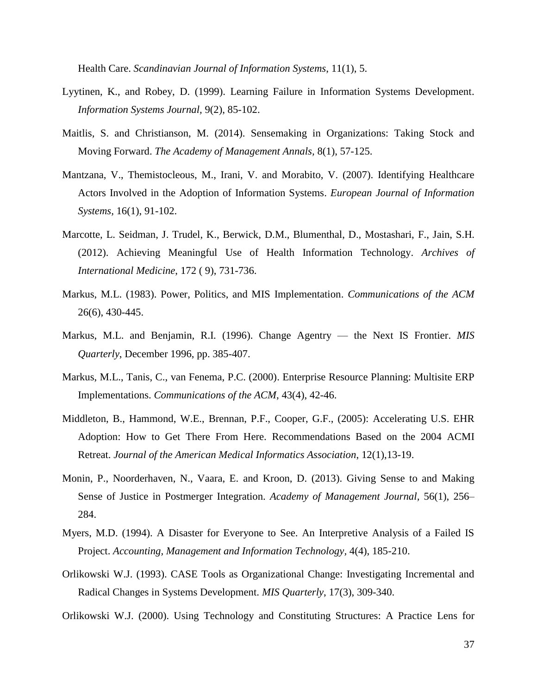Health Care. *Scandinavian Journal of Information Systems*, 11(1), 5.

- Lyytinen, K., and Robey, D. (1999). Learning Failure in Information Systems Development. *Information Systems Journal,* 9(2), 85-102.
- Maitlis, S. and Christianson, M. (2014). Sensemaking in Organizations: Taking Stock and Moving Forward. *The Academy of Management Annals,* 8(1), 57-125.
- Mantzana, V., Themistocleous, M., Irani, V. and Morabito, V. (2007). Identifying Healthcare Actors Involved in the Adoption of Information Systems. *European Journal of Information Systems,* 16(1), 91-102.
- Marcotte, L. Seidman, J. Trudel, K., Berwick, D.M., Blumenthal, D., Mostashari, F., Jain, S.H. (2012). Achieving Meaningful Use of Health Information Technology. *Archives of International Medicine*, 172 ( 9), 731-736.
- Markus, M.L. (1983). Power, Politics, and MIS Implementation. *Communications of the ACM* 26(6), 430-445.
- Markus, M.L. and Benjamin, R.I. (1996). Change Agentry the Next IS Frontier. *MIS Quarterly*, December 1996, pp. 385-407.
- Markus, M.L., Tanis, C., van Fenema, P.C. (2000). Enterprise Resource Planning: Multisite ERP Implementations. *Communications of the ACM*, 43(4), 42-46.
- Middleton, B., Hammond, W.E., Brennan, P.F., Cooper, G.F., (2005): Accelerating U.S. EHR Adoption: How to Get There From Here. Recommendations Based on the 2004 ACMI Retreat. *Journal of the American Medical Informatics Association*, 12(1),13-19.
- Monin, P., Noorderhaven, N., Vaara, E. and Kroon, D. (2013). Giving Sense to and Making Sense of Justice in Postmerger Integration. *Academy of Management Journal,* 56(1), 256– 284.
- Myers, M.D. (1994). A Disaster for Everyone to See. An Interpretive Analysis of a Failed IS Project. *Accounting, Management and Information Technology,* 4(4), 185-210.
- Orlikowski W.J. (1993). CASE Tools as Organizational Change: Investigating Incremental and Radical Changes in Systems Development. *MIS Quarterly*, 17(3), 309-340.
- Orlikowski W.J. (2000). Using Technology and Constituting Structures: A Practice Lens for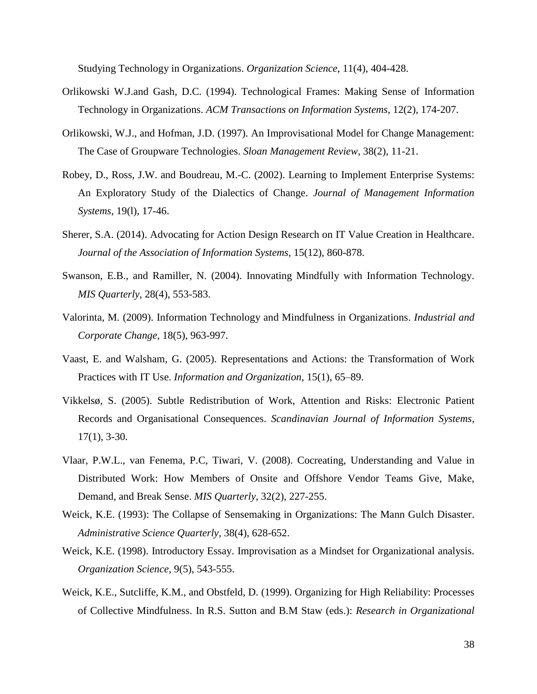Studying Technology in Organizations. *Organization Science*, 11(4), 404-428.

- Orlikowski W.J.and Gash, D.C. (1994). Technological Frames: Making Sense of Information Technology in Organizations. *ACM Transactions on Information Systems*, 12(2), 174-207.
- Orlikowski, W.J., and Hofman, J.D. (1997). An Improvisational Model for Change Management: The Case of Groupware Technologies. *Sloan Management Review,* 38(2), 11-21.
- Robey, D., Ross, J.W. and Boudreau, M.-C. (2002). Learning to Implement Enterprise Systems: An Exploratory Study of the Dialectics of Change. *Journal of Management Information Systems*, 19(l), 17-46.
- Sherer, S.A. (2014). Advocating for Action Design Research on IT Value Creation in Healthcare. *Journal of the Association of Information Systems*, 15(12), 860-878.
- Swanson, E.B., and Ramiller, N. (2004). Innovating Mindfully with Information Technology. *MIS Quarterly,* 28(4), 553-583.
- Valorinta, M. (2009). Information Technology and Mindfulness in Organizations. *Industrial and Corporate Change,* 18(5), 963-997.
- Vaast, E. and Walsham, G. (2005). Representations and Actions: the Transformation of Work Practices with IT Use. *Information and Organization*, 15(1), 65–89.
- Vikkelsø, S. (2005). Subtle Redistribution of Work, Attention and Risks: Electronic Patient Records and Organisational Consequences. *Scandinavian Journal of Information Systems*, 17(1), 3-30.
- Vlaar, P.W.L., van Fenema, P.C, Tiwari, V. (2008). Cocreating, Understanding and Value in Distributed Work: How Members of Onsite and Offshore Vendor Teams Give, Make, Demand, and Break Sense. *MIS Quarterly*, 32(2), 227-255.
- Weick, K.E. (1993): The Collapse of Sensemaking in Organizations: The Mann Gulch Disaster. *Administrative Science Quarterly,* 38(4), 628-652.
- Weick, K.E. (1998). Introductory Essay. Improvisation as a Mindset for Organizational analysis. *Organization Science,* 9(5), 543-555.
- Weick, K.E., Sutcliffe, K.M., and Obstfeld, D. (1999). Organizing for High Reliability: Processes of Collective Mindfulness. In R.S. Sutton and B.M Staw (eds.): *Research in Organizational*